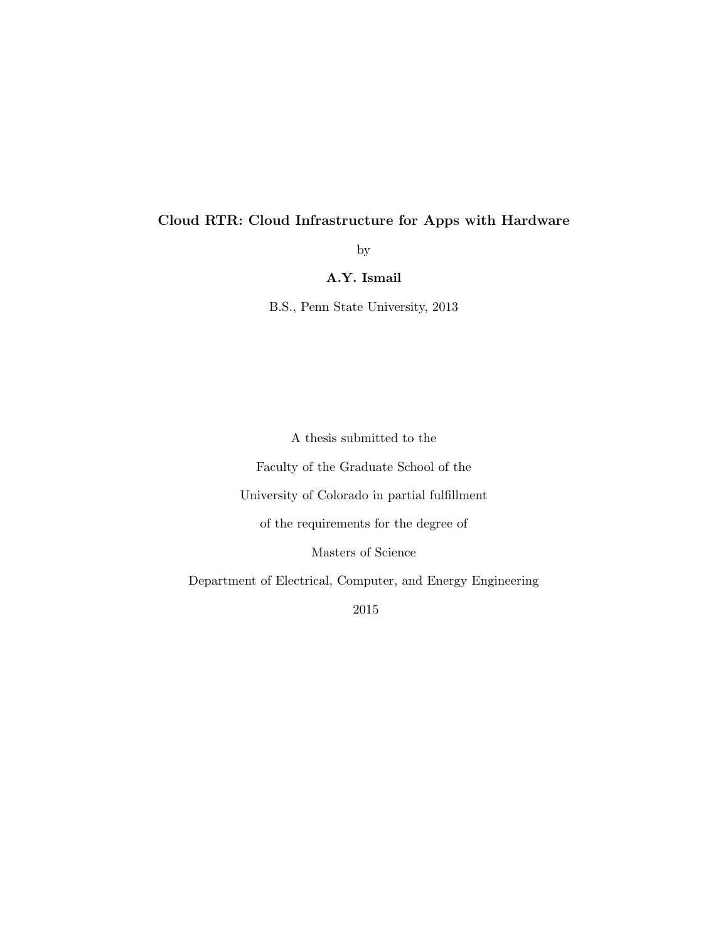## Cloud RTR: Cloud Infrastructure for Apps with Hardware

by

A.Y. Ismail

B.S., Penn State University, 2013

A thesis submitted to the

Faculty of the Graduate School of the

University of Colorado in partial fulfillment

of the requirements for the degree of

Masters of Science

Department of Electrical, Computer, and Energy Engineering

2015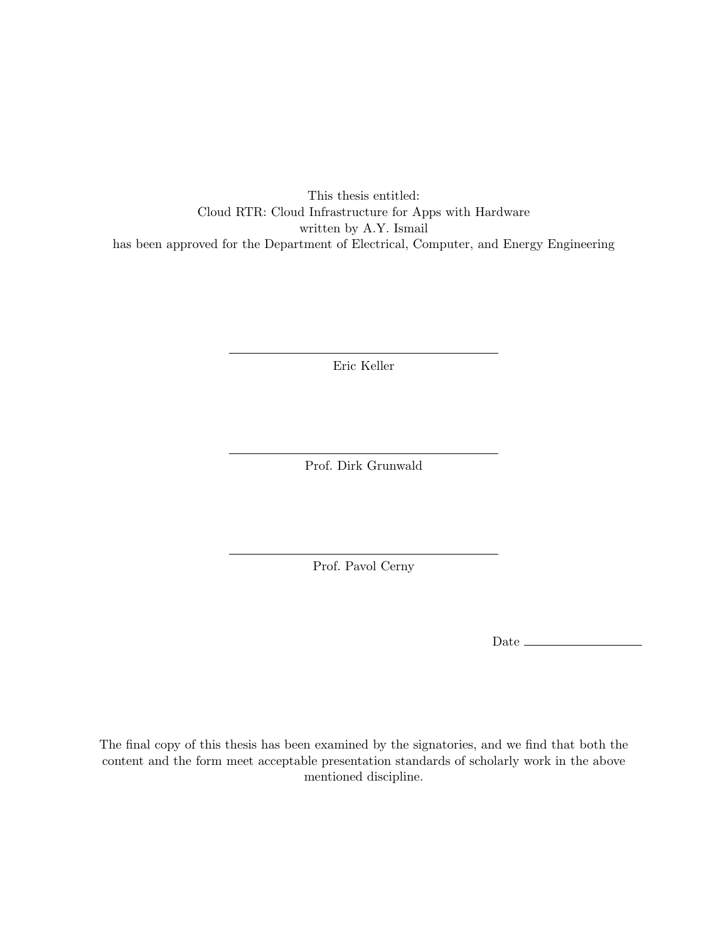This thesis entitled: Cloud RTR: Cloud Infrastructure for Apps with Hardware written by A.Y. Ismail has been approved for the Department of Electrical, Computer, and Energy Engineering

Eric Keller

Prof. Dirk Grunwald

Prof. Pavol Cerny

Date  $\_\_$ 

The final copy of this thesis has been examined by the signatories, and we find that both the content and the form meet acceptable presentation standards of scholarly work in the above mentioned discipline.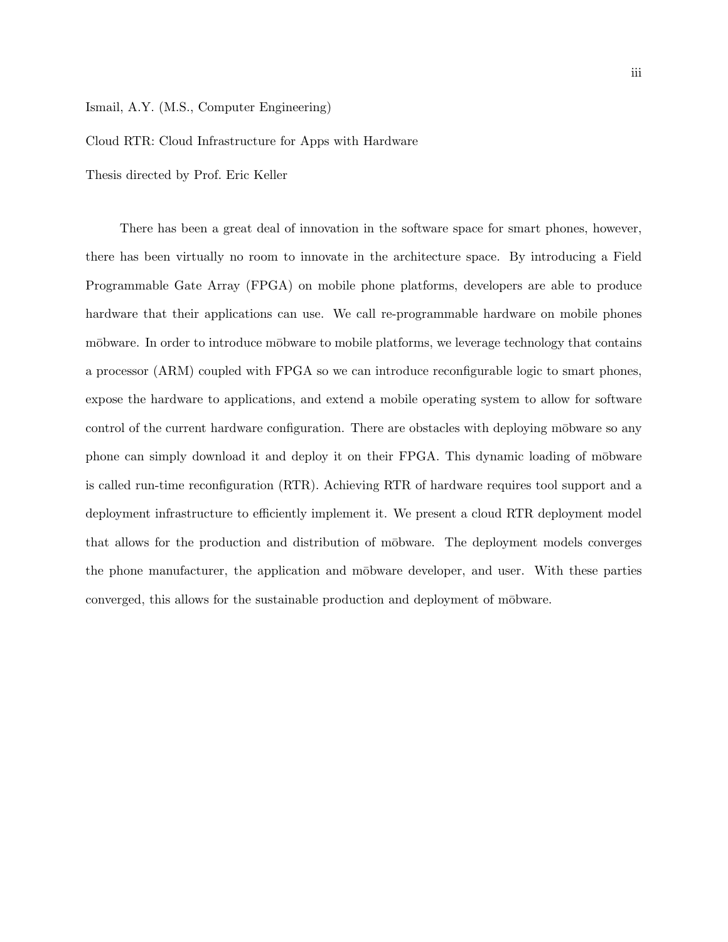#### Ismail, A.Y. (M.S., Computer Engineering)

#### Cloud RTR: Cloud Infrastructure for Apps with Hardware

Thesis directed by Prof. Eric Keller

There has been a great deal of innovation in the software space for smart phones, however, there has been virtually no room to innovate in the architecture space. By introducing a Field Programmable Gate Array (FPGA) on mobile phone platforms, developers are able to produce hardware that their applications can use. We call re-programmable hardware on mobile phones mobware. In order to introduce mobware to mobile platforms, we leverage technology that contains a processor (ARM) coupled with FPGA so we can introduce reconfigurable logic to smart phones, expose the hardware to applications, and extend a mobile operating system to allow for software control of the current hardware configuration. There are obstacles with deploying mobware so any phone can simply download it and deploy it on their FPGA. This dynamic loading of m $\bar{\text{obware}}$ is called run-time reconfiguration (RTR). Achieving RTR of hardware requires tool support and a deployment infrastructure to efficiently implement it. We present a cloud RTR deployment model that allows for the production and distribution of mobware. The deployment models converges the phone manufacturer, the application and m¯obware developer, and user. With these parties converged, this allows for the sustainable production and deployment of mobware.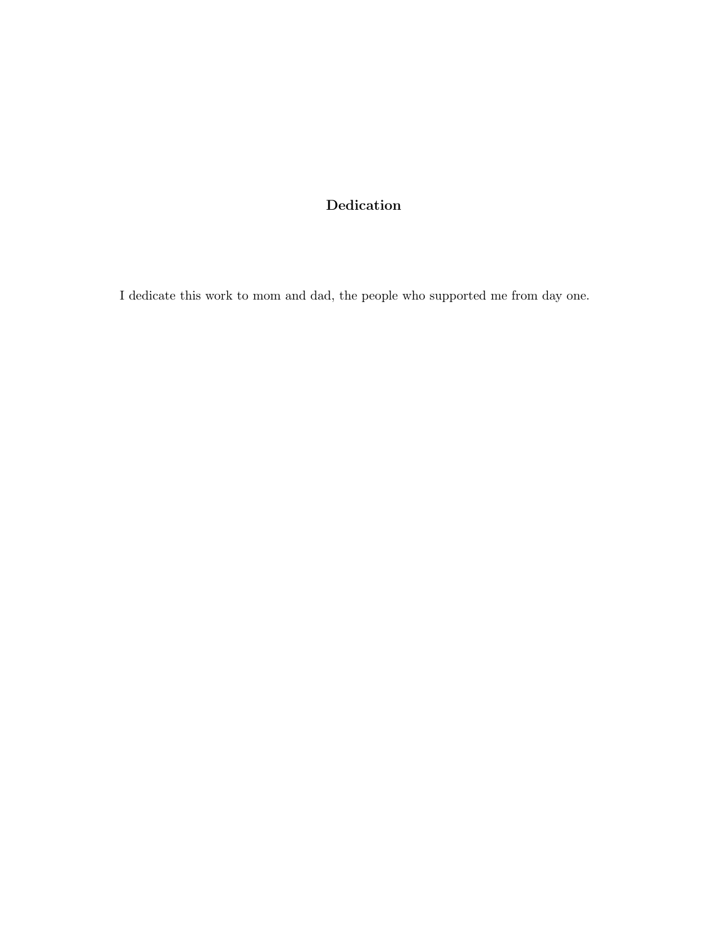# Dedication

I dedicate this work to mom and dad, the people who supported me from day one.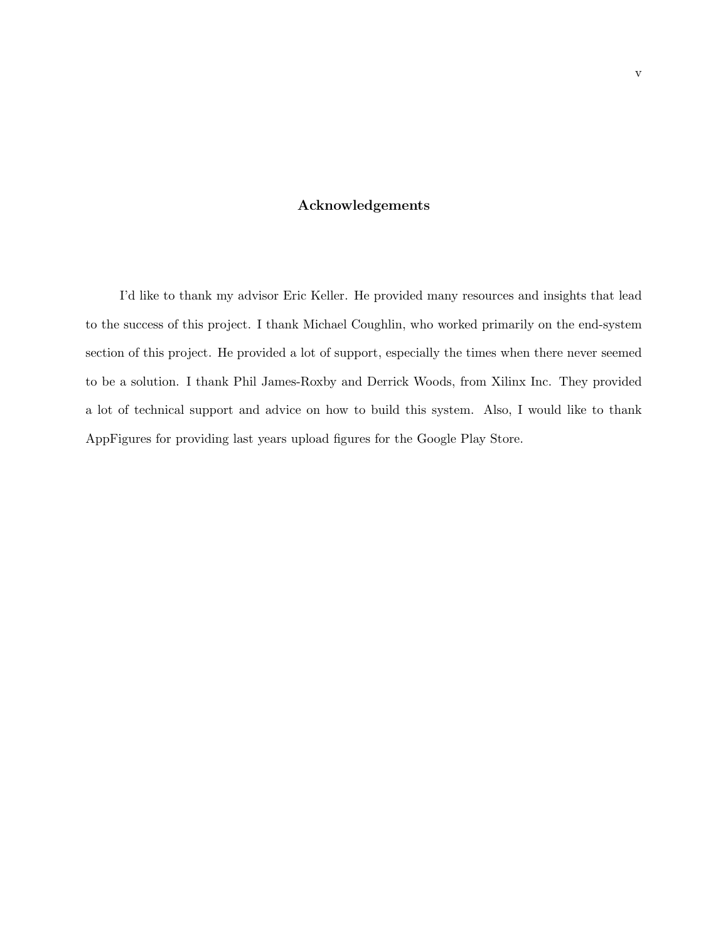## Acknowledgements

I'd like to thank my advisor Eric Keller. He provided many resources and insights that lead to the success of this project. I thank Michael Coughlin, who worked primarily on the end-system section of this project. He provided a lot of support, especially the times when there never seemed to be a solution. I thank Phil James-Roxby and Derrick Woods, from Xilinx Inc. They provided a lot of technical support and advice on how to build this system. Also, I would like to thank AppFigures for providing last years upload figures for the Google Play Store.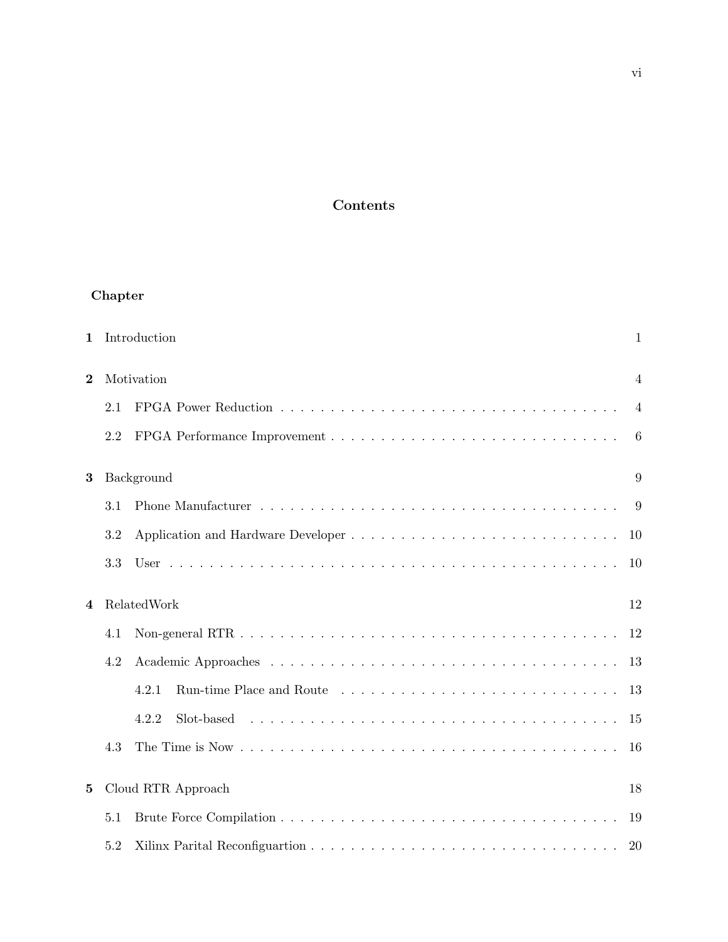## Contents

# Chapter

| $\mathbf{1}$ |     | Introduction       | $\mathbf{1}$   |
|--------------|-----|--------------------|----------------|
| $\bf{2}$     |     | Motivation         | $\overline{4}$ |
|              | 2.1 |                    | $\overline{4}$ |
|              | 2.2 |                    | 6              |
| 3            |     | Background         | 9              |
|              | 3.1 |                    | 9              |
|              | 3.2 |                    | 10             |
|              | 3.3 |                    | 10             |
| 4            |     | RelatedWork        | 12             |
|              | 4.1 |                    | 12             |
|              | 4.2 |                    | 13             |
|              |     | 4.2.1              | 13             |
|              |     | 4.2.2              | 15             |
|              | 4.3 |                    | 16             |
| $\bf{5}$     |     | Cloud RTR Approach | 18             |
|              | 5.1 |                    | 19             |
|              | 5.2 |                    | <b>20</b>      |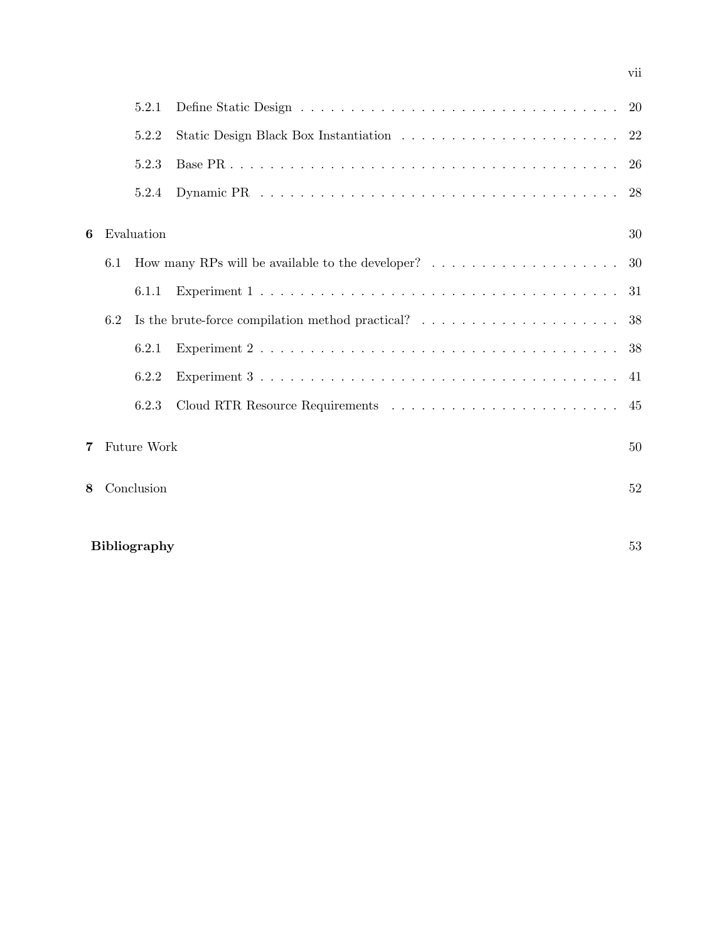|   |     | 5.2.1               |                                                                                                        |    |
|---|-----|---------------------|--------------------------------------------------------------------------------------------------------|----|
|   |     | 5.2.2               |                                                                                                        |    |
|   |     | 5.2.3               |                                                                                                        |    |
|   |     | 5.2.4               |                                                                                                        | 28 |
| 6 |     | Evaluation          |                                                                                                        | 30 |
|   | 6.1 |                     | How many RPs will be available to the developer? $\ldots \ldots \ldots \ldots \ldots \ldots \ldots$ 30 |    |
|   |     | 6.1.1               |                                                                                                        | 31 |
|   | 6.2 |                     | Is the brute-force compilation method practical? $\ldots \ldots \ldots \ldots \ldots \ldots$           |    |
|   |     | 6.2.1               |                                                                                                        |    |
|   |     | 6.2.2               |                                                                                                        |    |
|   |     | 6.2.3               |                                                                                                        |    |
| 7 |     | Future Work         |                                                                                                        | 50 |
| 8 |     | Conclusion          |                                                                                                        | 52 |
|   |     |                     |                                                                                                        |    |
|   |     | <b>Bibliography</b> |                                                                                                        | 53 |

vii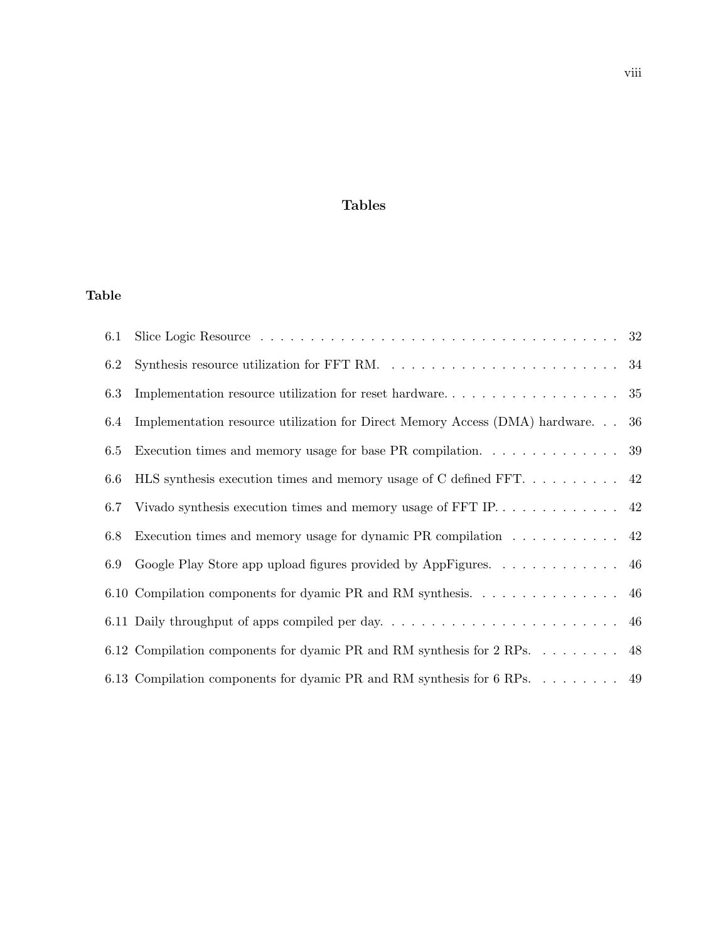## Tables

| 6.1 |                                                                                                      |  |
|-----|------------------------------------------------------------------------------------------------------|--|
| 6.2 | Synthesis resource utilization for FFT RM. $\dots \dots \dots \dots \dots \dots \dots \dots \dots$ . |  |
| 6.3 |                                                                                                      |  |
| 6.4 | Implementation resource utilization for Direct Memory Access (DMA) hardware 36                       |  |
| 6.5 | Execution times and memory usage for base PR compilation. $\dots \dots \dots \dots$                  |  |
| 6.6 | HLS synthesis execution times and memory usage of C defined FFT 22                                   |  |
| 6.7 |                                                                                                      |  |
| 6.8 | Execution times and memory usage for dynamic PR compilation $\dots \dots \dots \dots$ 42             |  |
| 6.9 | Google Play Store app upload figures provided by AppFigures. 46                                      |  |
|     | 6.10 Compilation components for dyamic PR and RM synthesis. 46                                       |  |
|     |                                                                                                      |  |
|     | 6.12 Compilation components for dyamic PR and RM synthesis for 2 RPs 48                              |  |
|     | 6.13 Compilation components for dyamic PR and RM synthesis for 6 RPs. 49                             |  |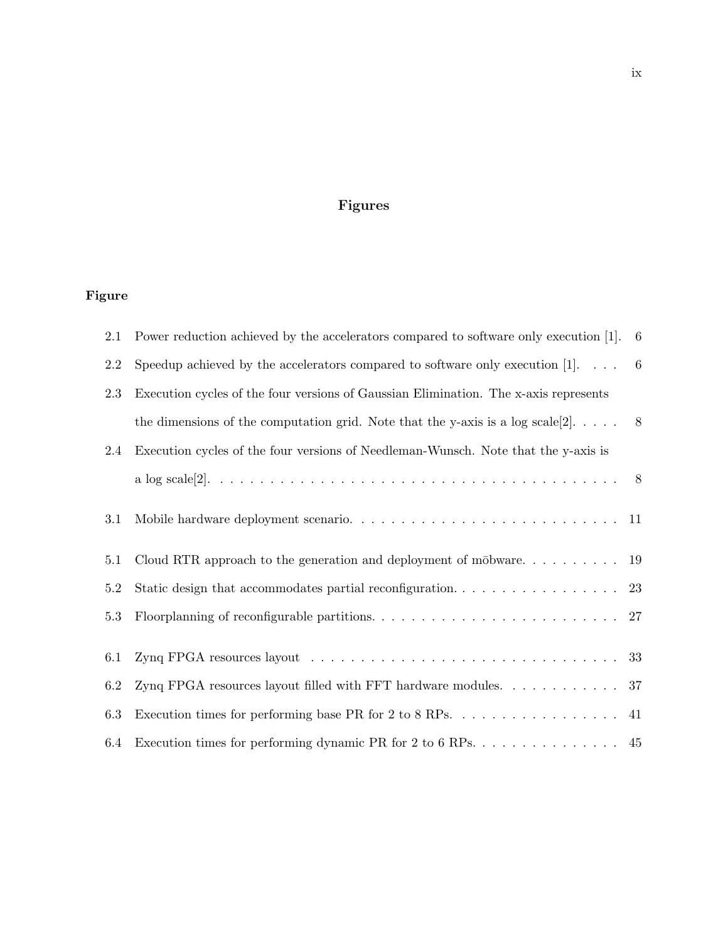# Figures

# Figure

| 2.1     | Power reduction achieved by the accelerators compared to software only execution [1].           | - 6 |
|---------|-------------------------------------------------------------------------------------------------|-----|
| 2.2     | Speedup achieved by the accelerators compared to software only execution $[1]$                  | - 6 |
| 2.3     | Execution cycles of the four versions of Gaussian Elimination. The x-axis represents            |     |
|         | the dimensions of the computation grid. Note that the y-axis is a log scale [2]. $\dots$ .      | 8   |
| 2.4     | Execution cycles of the four versions of Needleman-Wunsch. Note that the y-axis is              |     |
|         |                                                                                                 |     |
| 3.1     |                                                                                                 |     |
| 5.1     | Cloud RTR approach to the generation and deployment of mobware 19                               |     |
| $5.2\,$ |                                                                                                 |     |
| $5.3\,$ |                                                                                                 |     |
| 6.1     |                                                                                                 |     |
| 6.2     | Zynq FPGA resources layout filled with FFT hardware modules. $\ldots \ldots \ldots \ldots$ 37   |     |
| 6.3     | Execution times for performing base PR for 2 to 8 RPs. $\dots \dots \dots \dots \dots \dots$ 41 |     |
| 6.4     | Execution times for performing dynamic PR for 2 to 6 RPs. 45                                    |     |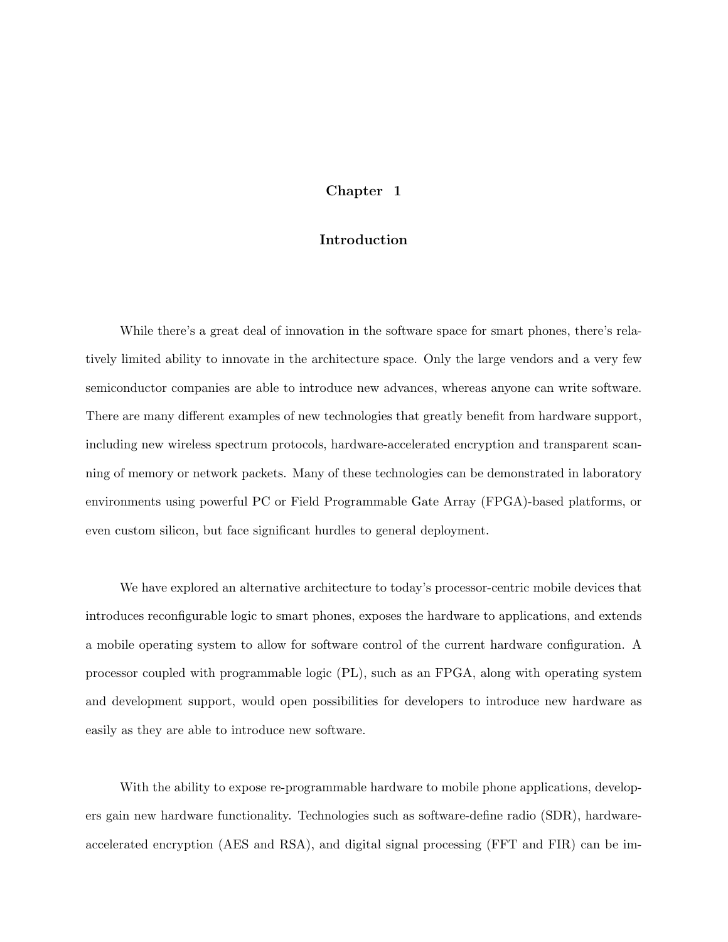## Chapter 1

#### Introduction

While there's a great deal of innovation in the software space for smart phones, there's relatively limited ability to innovate in the architecture space. Only the large vendors and a very few semiconductor companies are able to introduce new advances, whereas anyone can write software. There are many different examples of new technologies that greatly benefit from hardware support, including new wireless spectrum protocols, hardware-accelerated encryption and transparent scanning of memory or network packets. Many of these technologies can be demonstrated in laboratory environments using powerful PC or Field Programmable Gate Array (FPGA)-based platforms, or even custom silicon, but face significant hurdles to general deployment.

We have explored an alternative architecture to today's processor-centric mobile devices that introduces reconfigurable logic to smart phones, exposes the hardware to applications, and extends a mobile operating system to allow for software control of the current hardware configuration. A processor coupled with programmable logic (PL), such as an FPGA, along with operating system and development support, would open possibilities for developers to introduce new hardware as easily as they are able to introduce new software.

With the ability to expose re-programmable hardware to mobile phone applications, developers gain new hardware functionality. Technologies such as software-define radio (SDR), hardwareaccelerated encryption (AES and RSA), and digital signal processing (FFT and FIR) can be im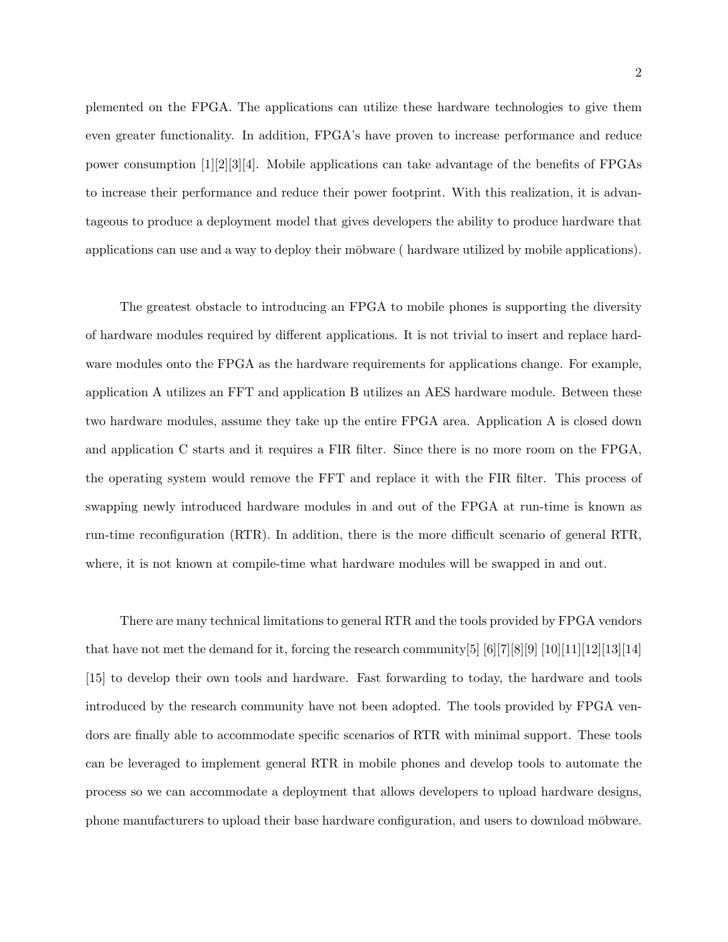plemented on the FPGA. The applications can utilize these hardware technologies to give them even greater functionality. In addition, FPGA's have proven to increase performance and reduce power consumption [1][2][3][4]. Mobile applications can take advantage of the benefits of FPGAs to increase their performance and reduce their power footprint. With this realization, it is advantageous to produce a deployment model that gives developers the ability to produce hardware that applications can use and a way to deploy their mobware (hardware utilized by mobile applications).

The greatest obstacle to introducing an FPGA to mobile phones is supporting the diversity of hardware modules required by different applications. It is not trivial to insert and replace hardware modules onto the FPGA as the hardware requirements for applications change. For example, application A utilizes an FFT and application B utilizes an AES hardware module. Between these two hardware modules, assume they take up the entire FPGA area. Application A is closed down and application C starts and it requires a FIR filter. Since there is no more room on the FPGA, the operating system would remove the FFT and replace it with the FIR filter. This process of swapping newly introduced hardware modules in and out of the FPGA at run-time is known as run-time reconfiguration (RTR). In addition, there is the more difficult scenario of general RTR, where, it is not known at compile-time what hardware modules will be swapped in and out.

There are many technical limitations to general RTR and the tools provided by FPGA vendors that have not met the demand for it, forcing the research community[5]  $|6||7||8||9| |10||11||12||13||14|$ [15] to develop their own tools and hardware. Fast forwarding to today, the hardware and tools introduced by the research community have not been adopted. The tools provided by FPGA vendors are finally able to accommodate specific scenarios of RTR with minimal support. These tools can be leveraged to implement general RTR in mobile phones and develop tools to automate the process so we can accommodate a deployment that allows developers to upload hardware designs, phone manufacturers to upload their base hardware configuration, and users to download m¯obware.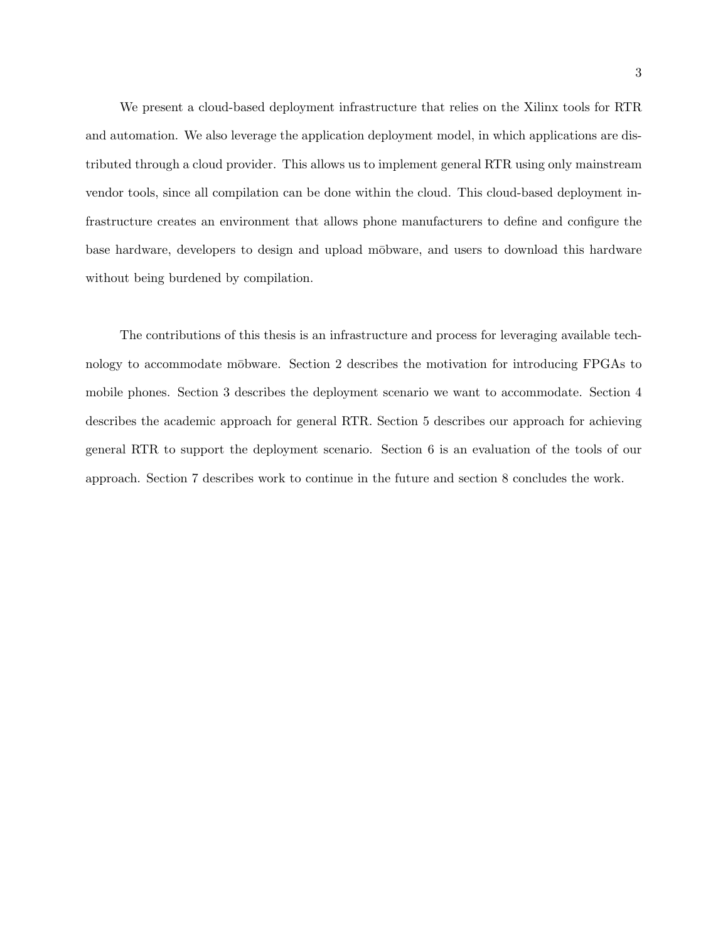We present a cloud-based deployment infrastructure that relies on the Xilinx tools for RTR and automation. We also leverage the application deployment model, in which applications are distributed through a cloud provider. This allows us to implement general RTR using only mainstream vendor tools, since all compilation can be done within the cloud. This cloud-based deployment infrastructure creates an environment that allows phone manufacturers to define and configure the base hardware, developers to design and upload mobware, and users to download this hardware without being burdened by compilation.

The contributions of this thesis is an infrastructure and process for leveraging available technology to accommodate mobware. Section 2 describes the motivation for introducing FPGAs to mobile phones. Section 3 describes the deployment scenario we want to accommodate. Section 4 describes the academic approach for general RTR. Section 5 describes our approach for achieving general RTR to support the deployment scenario. Section 6 is an evaluation of the tools of our approach. Section 7 describes work to continue in the future and section 8 concludes the work.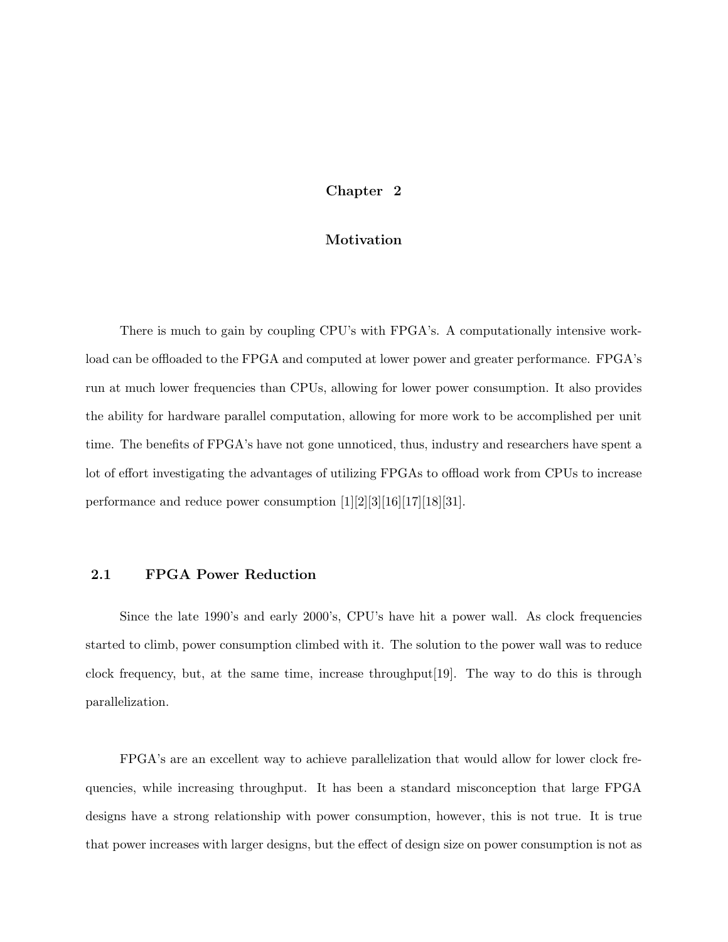## Chapter 2

#### Motivation

There is much to gain by coupling CPU's with FPGA's. A computationally intensive workload can be offloaded to the FPGA and computed at lower power and greater performance. FPGA's run at much lower frequencies than CPUs, allowing for lower power consumption. It also provides the ability for hardware parallel computation, allowing for more work to be accomplished per unit time. The benefits of FPGA's have not gone unnoticed, thus, industry and researchers have spent a lot of effort investigating the advantages of utilizing FPGAs to offload work from CPUs to increase performance and reduce power consumption [1][2][3][16][17][18][31].

## 2.1 FPGA Power Reduction

Since the late 1990's and early 2000's, CPU's have hit a power wall. As clock frequencies started to climb, power consumption climbed with it. The solution to the power wall was to reduce clock frequency, but, at the same time, increase throughput[19]. The way to do this is through parallelization.

FPGA's are an excellent way to achieve parallelization that would allow for lower clock frequencies, while increasing throughput. It has been a standard misconception that large FPGA designs have a strong relationship with power consumption, however, this is not true. It is true that power increases with larger designs, but the effect of design size on power consumption is not as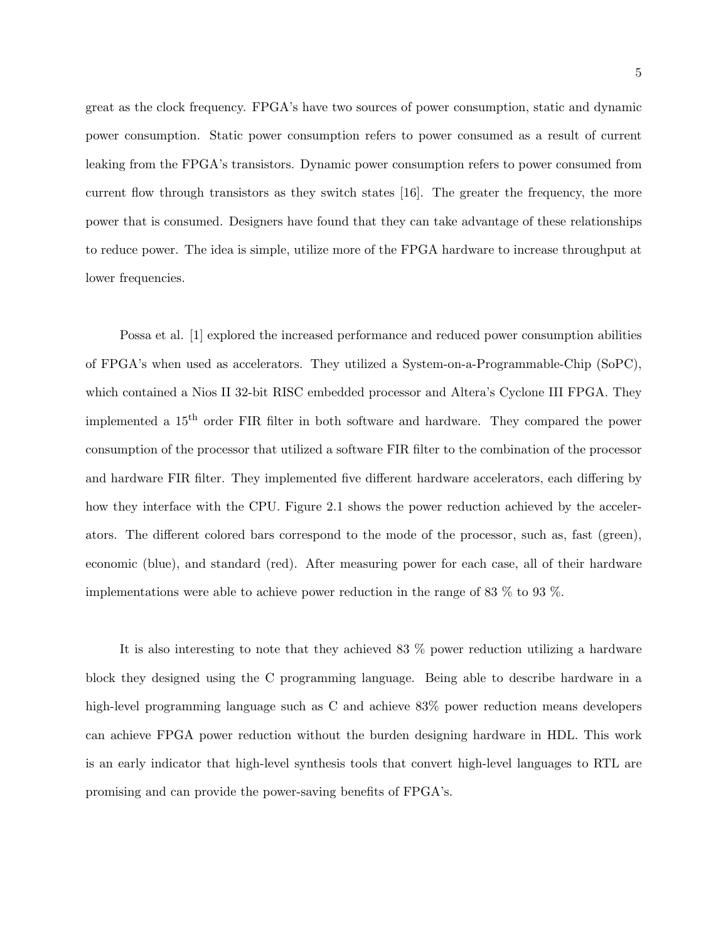great as the clock frequency. FPGA's have two sources of power consumption, static and dynamic power consumption. Static power consumption refers to power consumed as a result of current leaking from the FPGA's transistors. Dynamic power consumption refers to power consumed from current flow through transistors as they switch states [16]. The greater the frequency, the more power that is consumed. Designers have found that they can take advantage of these relationships to reduce power. The idea is simple, utilize more of the FPGA hardware to increase throughput at lower frequencies.

Possa et al. [1] explored the increased performance and reduced power consumption abilities of FPGA's when used as accelerators. They utilized a System-on-a-Programmable-Chip (SoPC), which contained a Nios II 32-bit RISC embedded processor and Altera's Cyclone III FPGA. They implemented a 15th order FIR filter in both software and hardware. They compared the power consumption of the processor that utilized a software FIR filter to the combination of the processor and hardware FIR filter. They implemented five different hardware accelerators, each differing by how they interface with the CPU. Figure 2.1 shows the power reduction achieved by the accelerators. The different colored bars correspond to the mode of the processor, such as, fast (green), economic (blue), and standard (red). After measuring power for each case, all of their hardware implementations were able to achieve power reduction in the range of 83 % to 93 %.

It is also interesting to note that they achieved 83 % power reduction utilizing a hardware block they designed using the C programming language. Being able to describe hardware in a high-level programming language such as C and achieve  $83\%$  power reduction means developers can achieve FPGA power reduction without the burden designing hardware in HDL. This work is an early indicator that high-level synthesis tools that convert high-level languages to RTL are promising and can provide the power-saving benefits of FPGA's.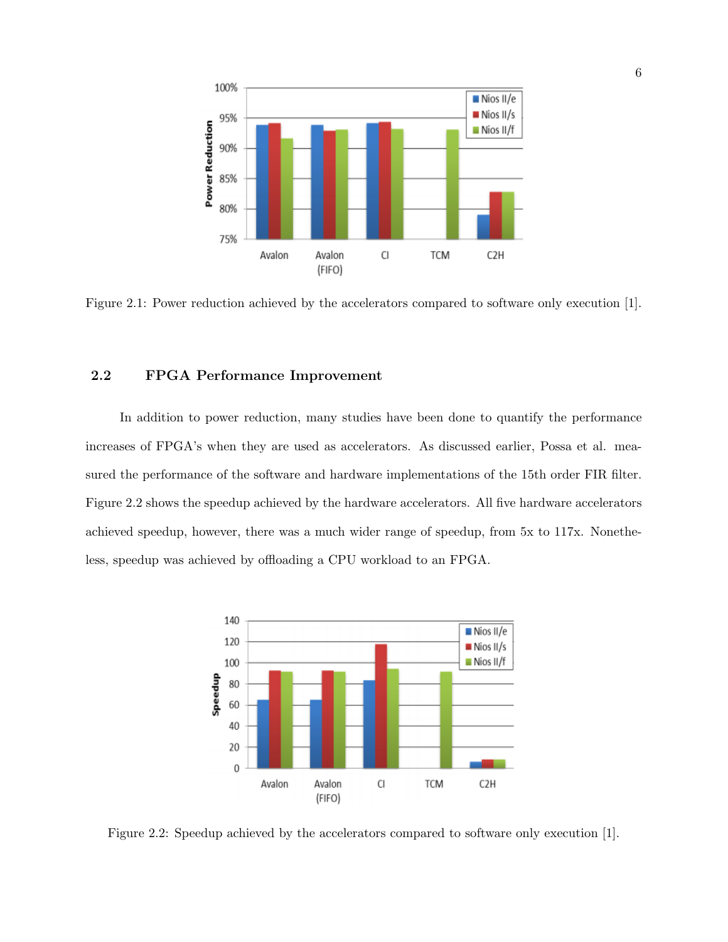

Figure 2.1: Power reduction achieved by the accelerators compared to software only execution [1].

## 2.2 FPGA Performance Improvement

In addition to power reduction, many studies have been done to quantify the performance increases of FPGA's when they are used as accelerators. As discussed earlier, Possa et al. measured the performance of the software and hardware implementations of the 15th order FIR filter. Figure 2.2 shows the speedup achieved by the hardware accelerators. All five hardware accelerators achieved speedup, however, there was a much wider range of speedup, from 5x to 117x. Nonetheless, speedup was achieved by offloading a CPU workload to an FPGA.



Figure 2.2: Speedup achieved by the accelerators compared to software only execution [1].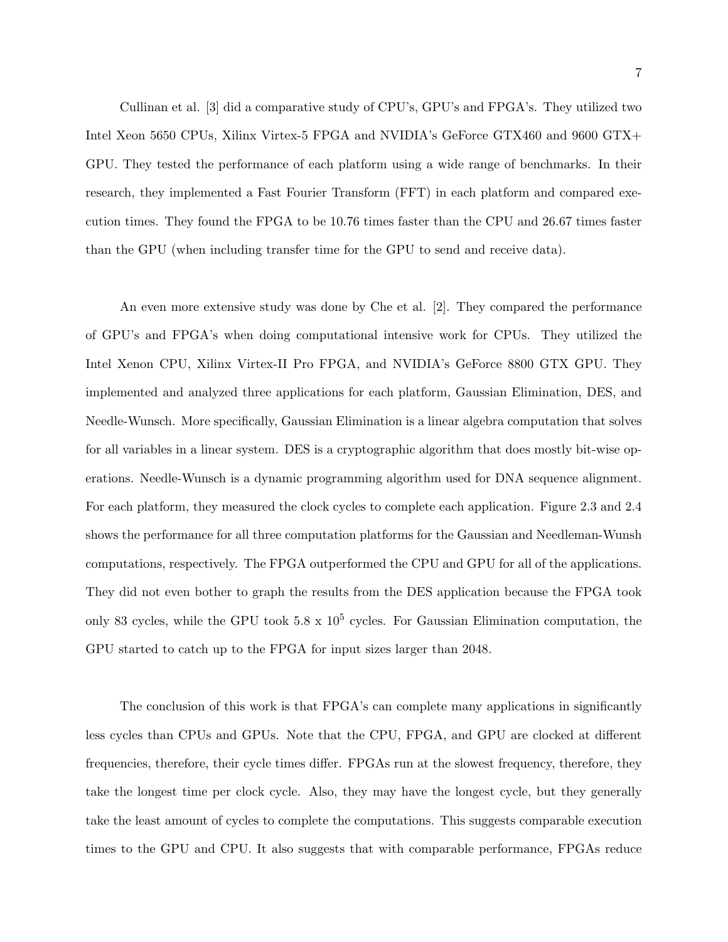Cullinan et al. [3] did a comparative study of CPU's, GPU's and FPGA's. They utilized two Intel Xeon 5650 CPUs, Xilinx Virtex-5 FPGA and NVIDIA's GeForce GTX460 and 9600 GTX+ GPU. They tested the performance of each platform using a wide range of benchmarks. In their research, they implemented a Fast Fourier Transform (FFT) in each platform and compared execution times. They found the FPGA to be 10.76 times faster than the CPU and 26.67 times faster than the GPU (when including transfer time for the GPU to send and receive data).

An even more extensive study was done by Che et al. [2]. They compared the performance of GPU's and FPGA's when doing computational intensive work for CPUs. They utilized the Intel Xenon CPU, Xilinx Virtex-II Pro FPGA, and NVIDIA's GeForce 8800 GTX GPU. They implemented and analyzed three applications for each platform, Gaussian Elimination, DES, and Needle-Wunsch. More specifically, Gaussian Elimination is a linear algebra computation that solves for all variables in a linear system. DES is a cryptographic algorithm that does mostly bit-wise operations. Needle-Wunsch is a dynamic programming algorithm used for DNA sequence alignment. For each platform, they measured the clock cycles to complete each application. Figure 2.3 and 2.4 shows the performance for all three computation platforms for the Gaussian and Needleman-Wunsh computations, respectively. The FPGA outperformed the CPU and GPU for all of the applications. They did not even bother to graph the results from the DES application because the FPGA took only 83 cycles, while the GPU took  $5.8 \times 10^5$  cycles. For Gaussian Elimination computation, the GPU started to catch up to the FPGA for input sizes larger than 2048.

The conclusion of this work is that FPGA's can complete many applications in significantly less cycles than CPUs and GPUs. Note that the CPU, FPGA, and GPU are clocked at different frequencies, therefore, their cycle times differ. FPGAs run at the slowest frequency, therefore, they take the longest time per clock cycle. Also, they may have the longest cycle, but they generally take the least amount of cycles to complete the computations. This suggests comparable execution times to the GPU and CPU. It also suggests that with comparable performance, FPGAs reduce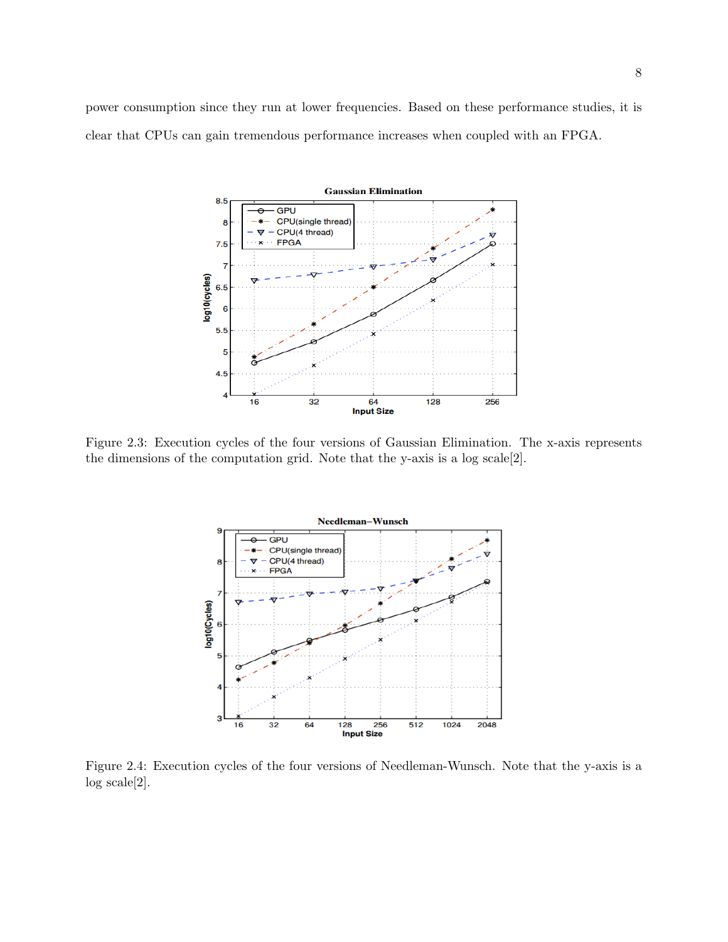power consumption since they run at lower frequencies. Based on these performance studies, it is clear that CPUs can gain tremendous performance increases when coupled with an FPGA.



Figure 2.3: Execution cycles of the four versions of Gaussian Elimination. The x-axis represents the dimensions of the computation grid. Note that the y-axis is a log scale[2].



Figure 2.4: Execution cycles of the four versions of Needleman-Wunsch. Note that the y-axis is a log scale[2].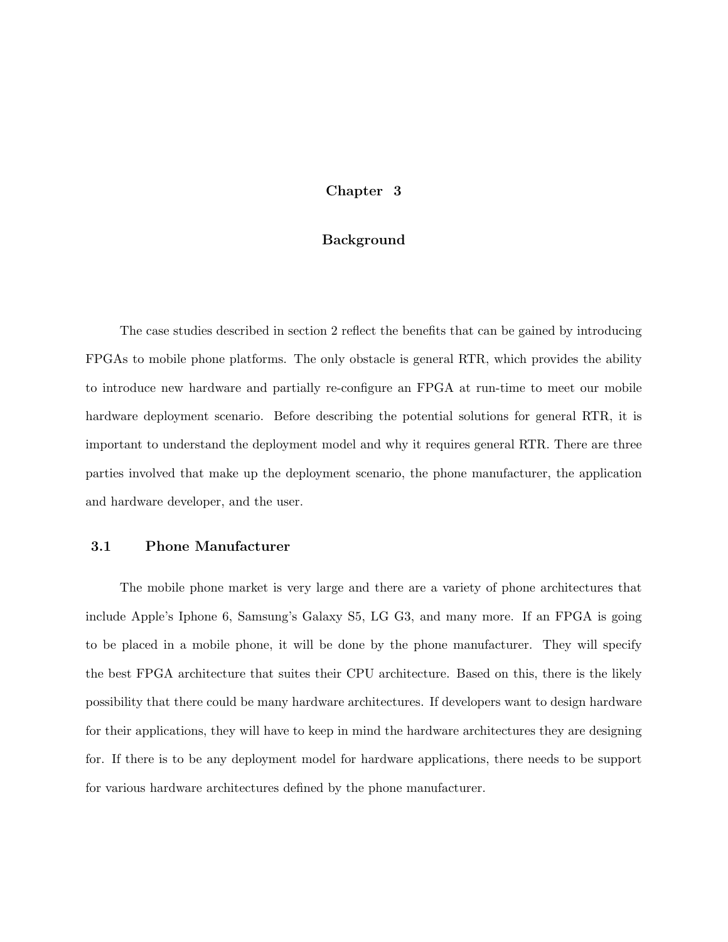## Chapter 3

#### Background

The case studies described in section 2 reflect the benefits that can be gained by introducing FPGAs to mobile phone platforms. The only obstacle is general RTR, which provides the ability to introduce new hardware and partially re-configure an FPGA at run-time to meet our mobile hardware deployment scenario. Before describing the potential solutions for general RTR, it is important to understand the deployment model and why it requires general RTR. There are three parties involved that make up the deployment scenario, the phone manufacturer, the application and hardware developer, and the user.

## 3.1 Phone Manufacturer

The mobile phone market is very large and there are a variety of phone architectures that include Apple's Iphone 6, Samsung's Galaxy S5, LG G3, and many more. If an FPGA is going to be placed in a mobile phone, it will be done by the phone manufacturer. They will specify the best FPGA architecture that suites their CPU architecture. Based on this, there is the likely possibility that there could be many hardware architectures. If developers want to design hardware for their applications, they will have to keep in mind the hardware architectures they are designing for. If there is to be any deployment model for hardware applications, there needs to be support for various hardware architectures defined by the phone manufacturer.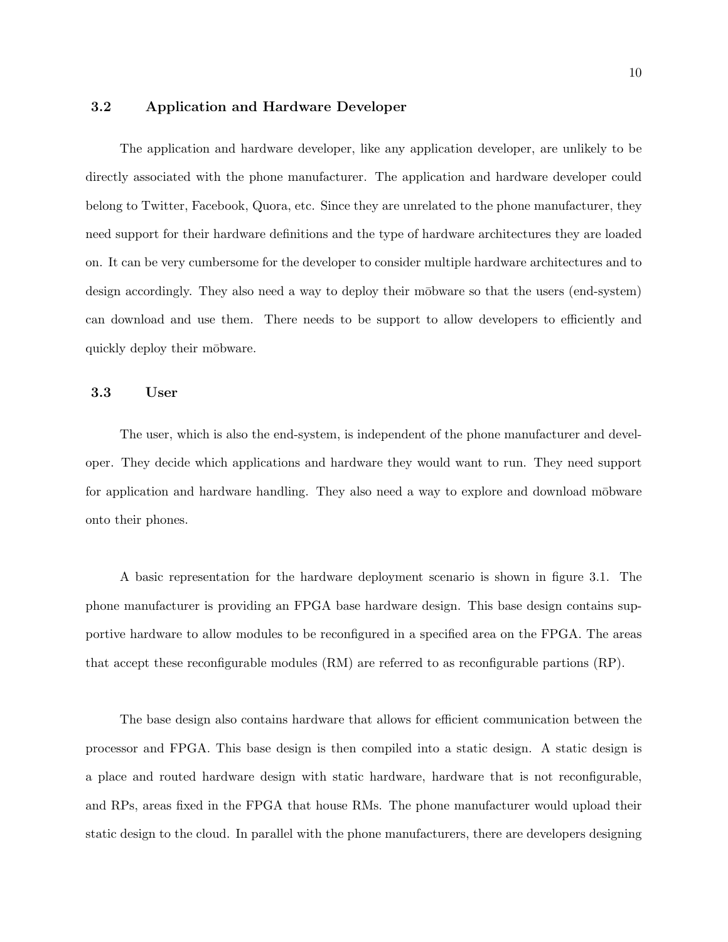## 3.2 Application and Hardware Developer

The application and hardware developer, like any application developer, are unlikely to be directly associated with the phone manufacturer. The application and hardware developer could belong to Twitter, Facebook, Quora, etc. Since they are unrelated to the phone manufacturer, they need support for their hardware definitions and the type of hardware architectures they are loaded on. It can be very cumbersome for the developer to consider multiple hardware architectures and to design accordingly. They also need a way to deploy their mobware so that the users (end-system) can download and use them. There needs to be support to allow developers to efficiently and quickly deploy their mobware.

## 3.3 User

The user, which is also the end-system, is independent of the phone manufacturer and developer. They decide which applications and hardware they would want to run. They need support for application and hardware handling. They also need a way to explore and download mobware onto their phones.

A basic representation for the hardware deployment scenario is shown in figure 3.1. The phone manufacturer is providing an FPGA base hardware design. This base design contains supportive hardware to allow modules to be reconfigured in a specified area on the FPGA. The areas that accept these reconfigurable modules (RM) are referred to as reconfigurable partions (RP).

The base design also contains hardware that allows for efficient communication between the processor and FPGA. This base design is then compiled into a static design. A static design is a place and routed hardware design with static hardware, hardware that is not reconfigurable, and RPs, areas fixed in the FPGA that house RMs. The phone manufacturer would upload their static design to the cloud. In parallel with the phone manufacturers, there are developers designing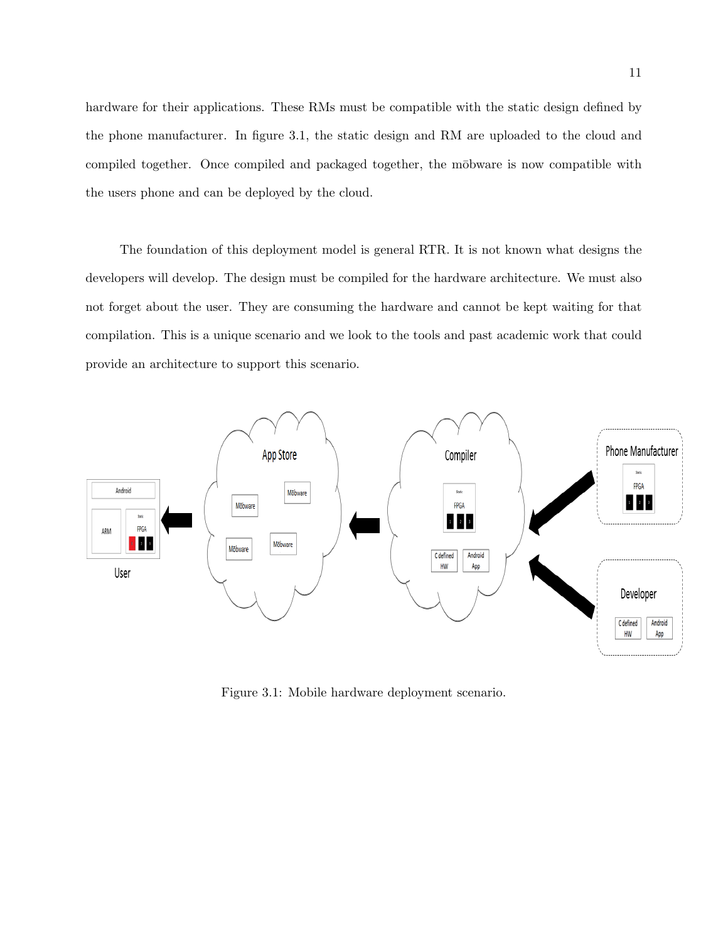hardware for their applications. These RMs must be compatible with the static design defined by the phone manufacturer. In figure 3.1, the static design and RM are uploaded to the cloud and compiled together. Once compiled and packaged together, the mobware is now compatible with the users phone and can be deployed by the cloud.

The foundation of this deployment model is general RTR. It is not known what designs the developers will develop. The design must be compiled for the hardware architecture. We must also not forget about the user. They are consuming the hardware and cannot be kept waiting for that compilation. This is a unique scenario and we look to the tools and past academic work that could provide an architecture to support this scenario.



Figure 3.1: Mobile hardware deployment scenario.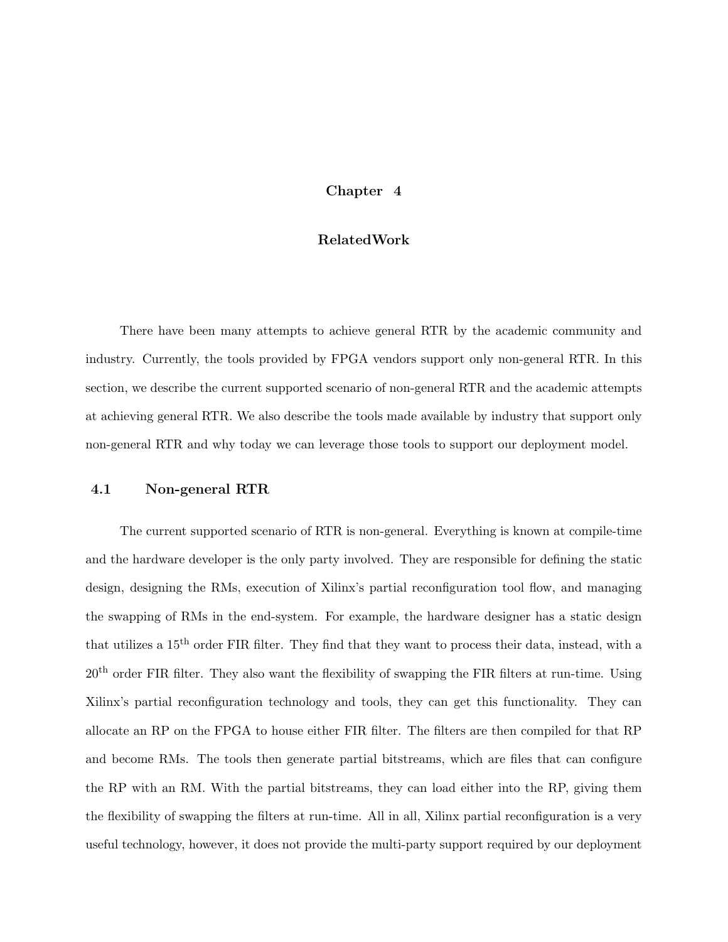## Chapter 4

#### RelatedWork

There have been many attempts to achieve general RTR by the academic community and industry. Currently, the tools provided by FPGA vendors support only non-general RTR. In this section, we describe the current supported scenario of non-general RTR and the academic attempts at achieving general RTR. We also describe the tools made available by industry that support only non-general RTR and why today we can leverage those tools to support our deployment model.

#### 4.1 Non-general RTR

The current supported scenario of RTR is non-general. Everything is known at compile-time and the hardware developer is the only party involved. They are responsible for defining the static design, designing the RMs, execution of Xilinx's partial reconfiguration tool flow, and managing the swapping of RMs in the end-system. For example, the hardware designer has a static design that utilizes a 15th order FIR filter. They find that they want to process their data, instead, with a  $20<sup>th</sup>$  order FIR filter. They also want the flexibility of swapping the FIR filters at run-time. Using Xilinx's partial reconfiguration technology and tools, they can get this functionality. They can allocate an RP on the FPGA to house either FIR filter. The filters are then compiled for that RP and become RMs. The tools then generate partial bitstreams, which are files that can configure the RP with an RM. With the partial bitstreams, they can load either into the RP, giving them the flexibility of swapping the filters at run-time. All in all, Xilinx partial reconfiguration is a very useful technology, however, it does not provide the multi-party support required by our deployment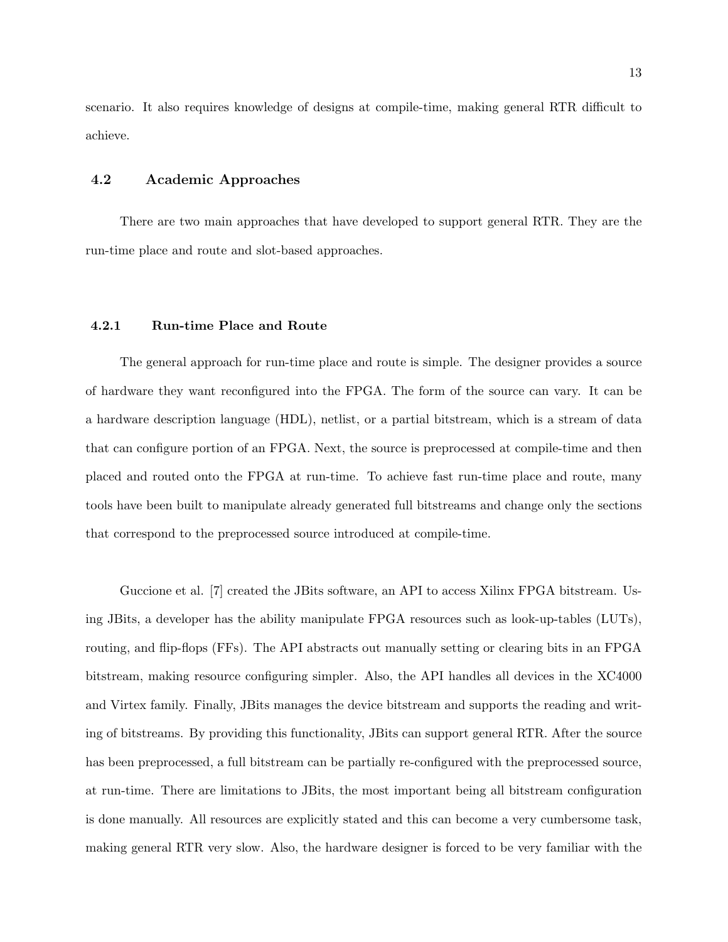scenario. It also requires knowledge of designs at compile-time, making general RTR difficult to achieve.

## 4.2 Academic Approaches

There are two main approaches that have developed to support general RTR. They are the run-time place and route and slot-based approaches.

#### 4.2.1 Run-time Place and Route

The general approach for run-time place and route is simple. The designer provides a source of hardware they want reconfigured into the FPGA. The form of the source can vary. It can be a hardware description language (HDL), netlist, or a partial bitstream, which is a stream of data that can configure portion of an FPGA. Next, the source is preprocessed at compile-time and then placed and routed onto the FPGA at run-time. To achieve fast run-time place and route, many tools have been built to manipulate already generated full bitstreams and change only the sections that correspond to the preprocessed source introduced at compile-time.

Guccione et al. [7] created the JBits software, an API to access Xilinx FPGA bitstream. Using JBits, a developer has the ability manipulate FPGA resources such as look-up-tables (LUTs), routing, and flip-flops (FFs). The API abstracts out manually setting or clearing bits in an FPGA bitstream, making resource configuring simpler. Also, the API handles all devices in the XC4000 and Virtex family. Finally, JBits manages the device bitstream and supports the reading and writing of bitstreams. By providing this functionality, JBits can support general RTR. After the source has been preprocessed, a full bitstream can be partially re-configured with the preprocessed source, at run-time. There are limitations to JBits, the most important being all bitstream configuration is done manually. All resources are explicitly stated and this can become a very cumbersome task, making general RTR very slow. Also, the hardware designer is forced to be very familiar with the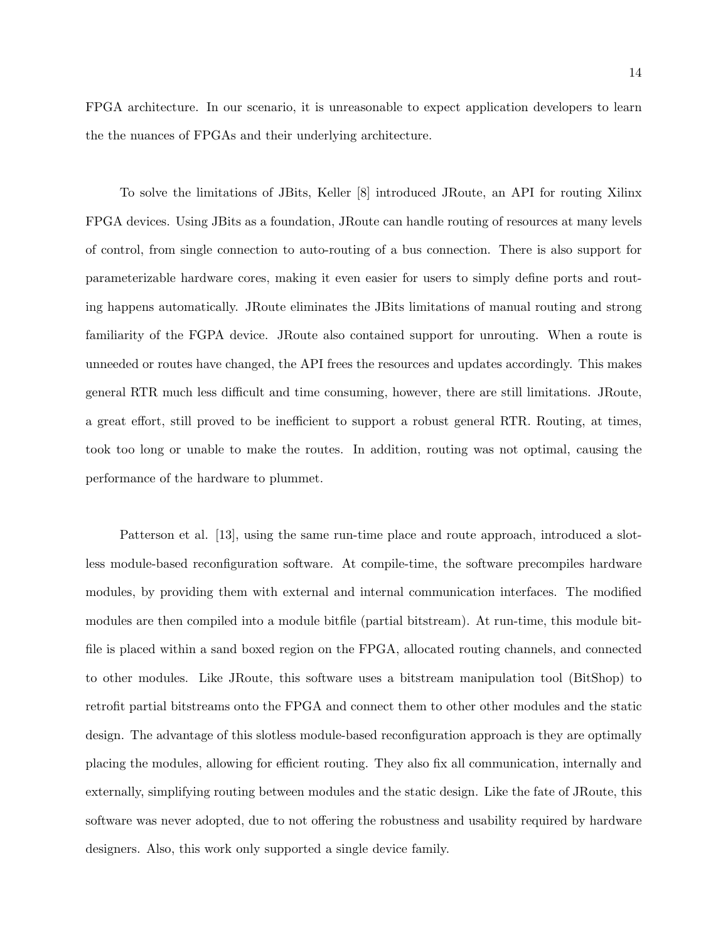FPGA architecture. In our scenario, it is unreasonable to expect application developers to learn the the nuances of FPGAs and their underlying architecture.

To solve the limitations of JBits, Keller [8] introduced JRoute, an API for routing Xilinx FPGA devices. Using JBits as a foundation, JRoute can handle routing of resources at many levels of control, from single connection to auto-routing of a bus connection. There is also support for parameterizable hardware cores, making it even easier for users to simply define ports and routing happens automatically. JRoute eliminates the JBits limitations of manual routing and strong familiarity of the FGPA device. JRoute also contained support for unrouting. When a route is unneeded or routes have changed, the API frees the resources and updates accordingly. This makes general RTR much less difficult and time consuming, however, there are still limitations. JRoute, a great effort, still proved to be inefficient to support a robust general RTR. Routing, at times, took too long or unable to make the routes. In addition, routing was not optimal, causing the performance of the hardware to plummet.

Patterson et al. [13], using the same run-time place and route approach, introduced a slotless module-based reconfiguration software. At compile-time, the software precompiles hardware modules, by providing them with external and internal communication interfaces. The modified modules are then compiled into a module bitfile (partial bitstream). At run-time, this module bitfile is placed within a sand boxed region on the FPGA, allocated routing channels, and connected to other modules. Like JRoute, this software uses a bitstream manipulation tool (BitShop) to retrofit partial bitstreams onto the FPGA and connect them to other other modules and the static design. The advantage of this slotless module-based reconfiguration approach is they are optimally placing the modules, allowing for efficient routing. They also fix all communication, internally and externally, simplifying routing between modules and the static design. Like the fate of JRoute, this software was never adopted, due to not offering the robustness and usability required by hardware designers. Also, this work only supported a single device family.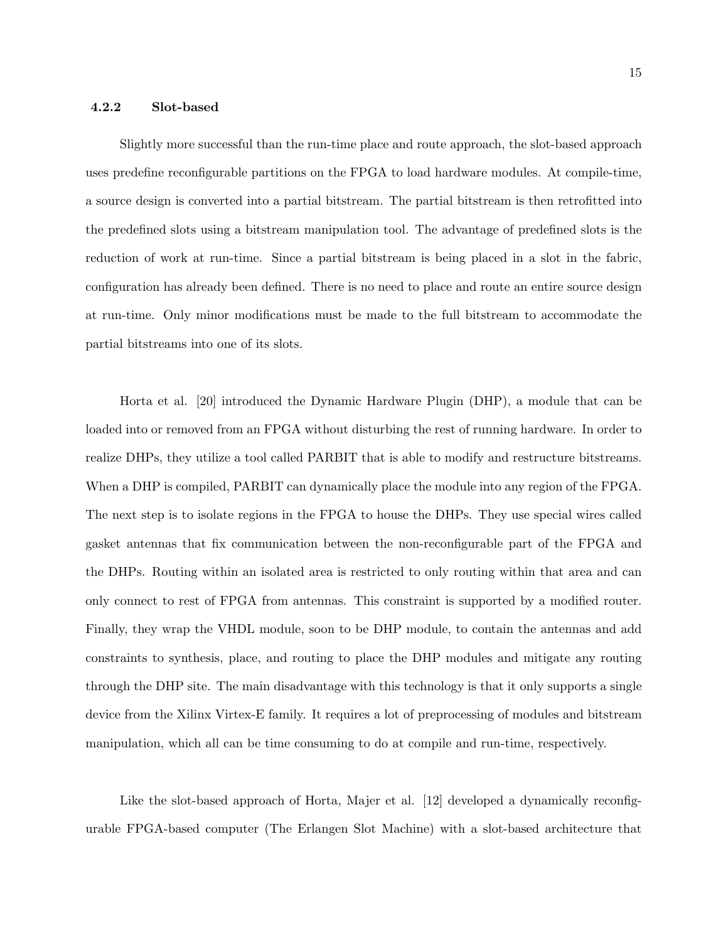#### 4.2.2 Slot-based

Slightly more successful than the run-time place and route approach, the slot-based approach uses predefine reconfigurable partitions on the FPGA to load hardware modules. At compile-time, a source design is converted into a partial bitstream. The partial bitstream is then retrofitted into the predefined slots using a bitstream manipulation tool. The advantage of predefined slots is the reduction of work at run-time. Since a partial bitstream is being placed in a slot in the fabric, configuration has already been defined. There is no need to place and route an entire source design at run-time. Only minor modifications must be made to the full bitstream to accommodate the partial bitstreams into one of its slots.

Horta et al. [20] introduced the Dynamic Hardware Plugin (DHP), a module that can be loaded into or removed from an FPGA without disturbing the rest of running hardware. In order to realize DHPs, they utilize a tool called PARBIT that is able to modify and restructure bitstreams. When a DHP is compiled, PARBIT can dynamically place the module into any region of the FPGA. The next step is to isolate regions in the FPGA to house the DHPs. They use special wires called gasket antennas that fix communication between the non-reconfigurable part of the FPGA and the DHPs. Routing within an isolated area is restricted to only routing within that area and can only connect to rest of FPGA from antennas. This constraint is supported by a modified router. Finally, they wrap the VHDL module, soon to be DHP module, to contain the antennas and add constraints to synthesis, place, and routing to place the DHP modules and mitigate any routing through the DHP site. The main disadvantage with this technology is that it only supports a single device from the Xilinx Virtex-E family. It requires a lot of preprocessing of modules and bitstream manipulation, which all can be time consuming to do at compile and run-time, respectively.

Like the slot-based approach of Horta, Majer et al. [12] developed a dynamically reconfigurable FPGA-based computer (The Erlangen Slot Machine) with a slot-based architecture that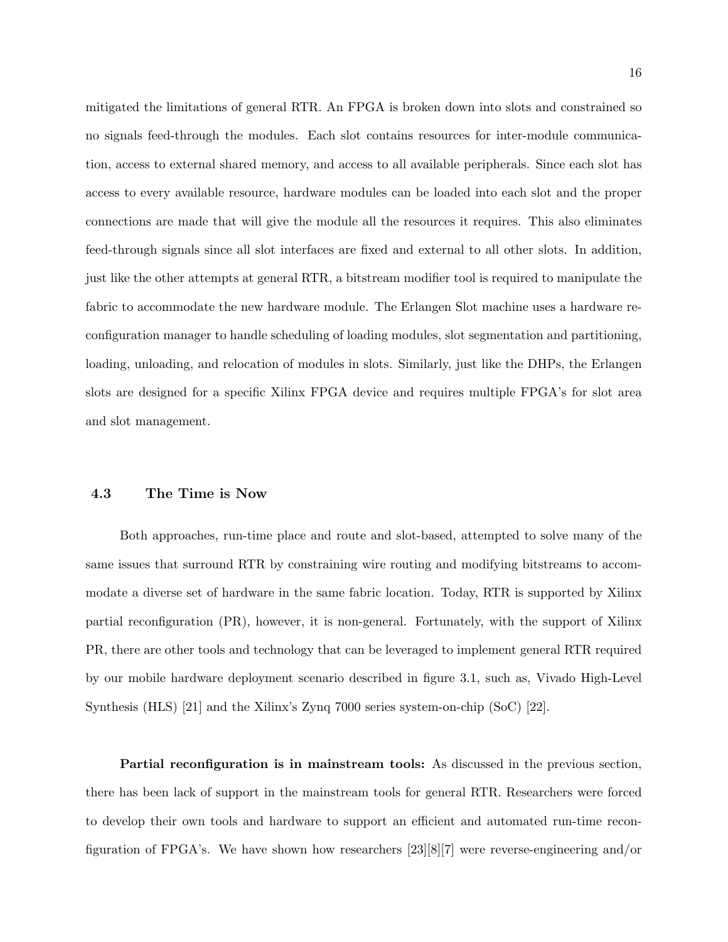mitigated the limitations of general RTR. An FPGA is broken down into slots and constrained so no signals feed-through the modules. Each slot contains resources for inter-module communication, access to external shared memory, and access to all available peripherals. Since each slot has access to every available resource, hardware modules can be loaded into each slot and the proper connections are made that will give the module all the resources it requires. This also eliminates feed-through signals since all slot interfaces are fixed and external to all other slots. In addition, just like the other attempts at general RTR, a bitstream modifier tool is required to manipulate the fabric to accommodate the new hardware module. The Erlangen Slot machine uses a hardware reconfiguration manager to handle scheduling of loading modules, slot segmentation and partitioning, loading, unloading, and relocation of modules in slots. Similarly, just like the DHPs, the Erlangen slots are designed for a specific Xilinx FPGA device and requires multiple FPGA's for slot area and slot management.

#### 4.3 The Time is Now

Both approaches, run-time place and route and slot-based, attempted to solve many of the same issues that surround RTR by constraining wire routing and modifying bitstreams to accommodate a diverse set of hardware in the same fabric location. Today, RTR is supported by Xilinx partial reconfiguration (PR), however, it is non-general. Fortunately, with the support of Xilinx PR, there are other tools and technology that can be leveraged to implement general RTR required by our mobile hardware deployment scenario described in figure 3.1, such as, Vivado High-Level Synthesis (HLS) [21] and the Xilinx's Zynq 7000 series system-on-chip (SoC) [22].

Partial reconfiguration is in mainstream tools: As discussed in the previous section, there has been lack of support in the mainstream tools for general RTR. Researchers were forced to develop their own tools and hardware to support an efficient and automated run-time reconfiguration of FPGA's. We have shown how researchers [23][8][7] were reverse-engineering and/or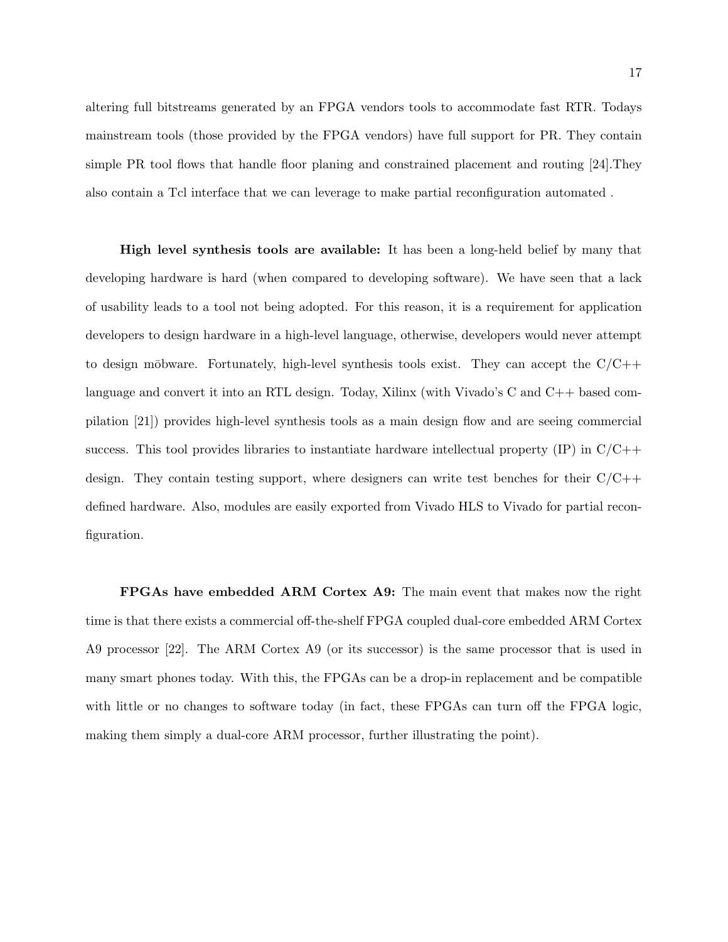altering full bitstreams generated by an FPGA vendors tools to accommodate fast RTR. Todays mainstream tools (those provided by the FPGA vendors) have full support for PR. They contain simple PR tool flows that handle floor planing and constrained placement and routing [24].They also contain a Tcl interface that we can leverage to make partial reconfiguration automated .

High level synthesis tools are available: It has been a long-held belief by many that developing hardware is hard (when compared to developing software). We have seen that a lack of usability leads to a tool not being adopted. For this reason, it is a requirement for application developers to design hardware in a high-level language, otherwise, developers would never attempt to design mobware. Fortunately, high-level synthesis tools exist. They can accept the  $C/C++$ language and convert it into an RTL design. Today, Xilinx (with Vivado's C and C++ based compilation [21]) provides high-level synthesis tools as a main design flow and are seeing commercial success. This tool provides libraries to instantiate hardware intellectual property  $(IP)$  in  $C/C++$ design. They contain testing support, where designers can write test benches for their  $C/C++$ defined hardware. Also, modules are easily exported from Vivado HLS to Vivado for partial reconfiguration.

FPGAs have embedded ARM Cortex A9: The main event that makes now the right time is that there exists a commercial off-the-shelf FPGA coupled dual-core embedded ARM Cortex A9 processor [22]. The ARM Cortex A9 (or its successor) is the same processor that is used in many smart phones today. With this, the FPGAs can be a drop-in replacement and be compatible with little or no changes to software today (in fact, these FPGAs can turn off the FPGA logic, making them simply a dual-core ARM processor, further illustrating the point).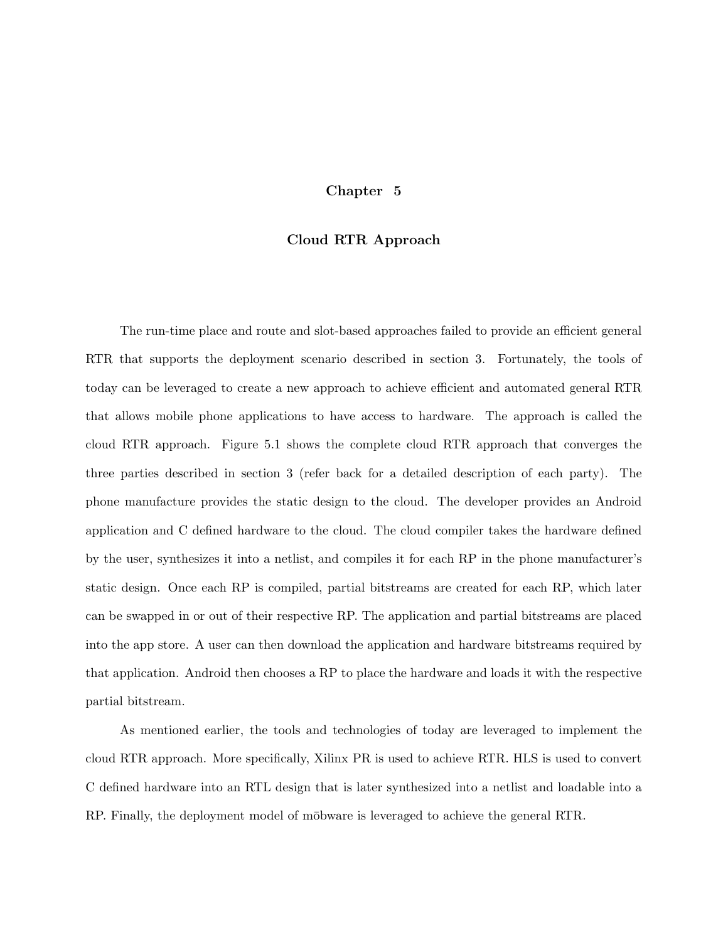#### Chapter 5

### Cloud RTR Approach

The run-time place and route and slot-based approaches failed to provide an efficient general RTR that supports the deployment scenario described in section 3. Fortunately, the tools of today can be leveraged to create a new approach to achieve efficient and automated general RTR that allows mobile phone applications to have access to hardware. The approach is called the cloud RTR approach. Figure 5.1 shows the complete cloud RTR approach that converges the three parties described in section 3 (refer back for a detailed description of each party). The phone manufacture provides the static design to the cloud. The developer provides an Android application and C defined hardware to the cloud. The cloud compiler takes the hardware defined by the user, synthesizes it into a netlist, and compiles it for each RP in the phone manufacturer's static design. Once each RP is compiled, partial bitstreams are created for each RP, which later can be swapped in or out of their respective RP. The application and partial bitstreams are placed into the app store. A user can then download the application and hardware bitstreams required by that application. Android then chooses a RP to place the hardware and loads it with the respective partial bitstream.

As mentioned earlier, the tools and technologies of today are leveraged to implement the cloud RTR approach. More specifically, Xilinx PR is used to achieve RTR. HLS is used to convert C defined hardware into an RTL design that is later synthesized into a netlist and loadable into a RP. Finally, the deployment model of mobware is leveraged to achieve the general RTR.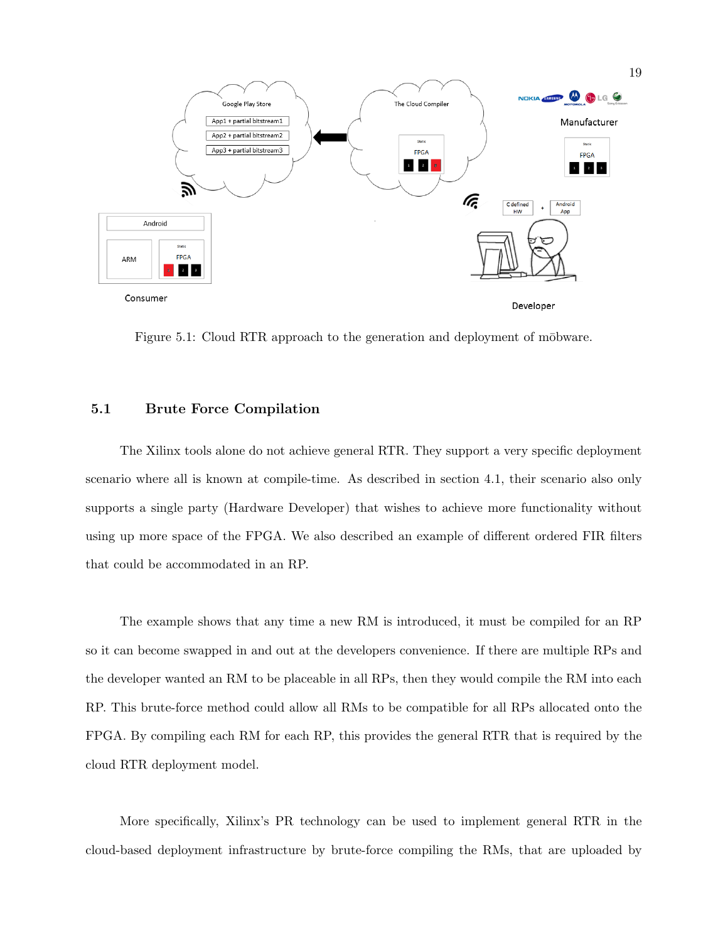

Figure 5.1: Cloud RTR approach to the generation and deployment of mobware.

## 5.1 Brute Force Compilation

The Xilinx tools alone do not achieve general RTR. They support a very specific deployment scenario where all is known at compile-time. As described in section 4.1, their scenario also only supports a single party (Hardware Developer) that wishes to achieve more functionality without using up more space of the FPGA. We also described an example of different ordered FIR filters that could be accommodated in an RP.

The example shows that any time a new RM is introduced, it must be compiled for an RP so it can become swapped in and out at the developers convenience. If there are multiple RPs and the developer wanted an RM to be placeable in all RPs, then they would compile the RM into each RP. This brute-force method could allow all RMs to be compatible for all RPs allocated onto the FPGA. By compiling each RM for each RP, this provides the general RTR that is required by the cloud RTR deployment model.

More specifically, Xilinx's PR technology can be used to implement general RTR in the cloud-based deployment infrastructure by brute-force compiling the RMs, that are uploaded by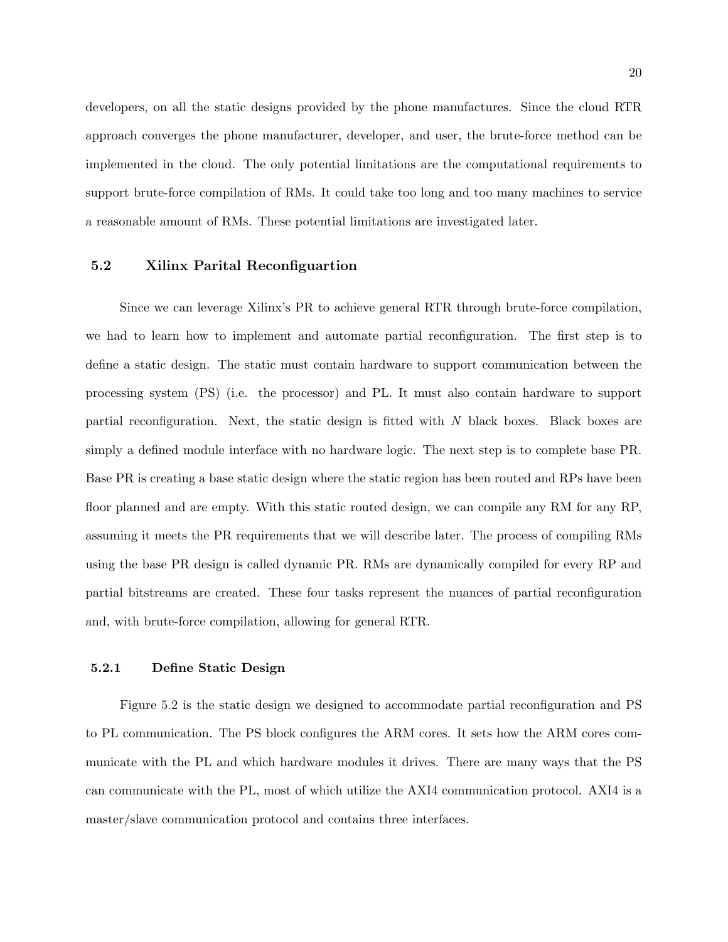developers, on all the static designs provided by the phone manufactures. Since the cloud RTR approach converges the phone manufacturer, developer, and user, the brute-force method can be implemented in the cloud. The only potential limitations are the computational requirements to support brute-force compilation of RMs. It could take too long and too many machines to service a reasonable amount of RMs. These potential limitations are investigated later.

## 5.2 Xilinx Parital Reconfiguartion

Since we can leverage Xilinx's PR to achieve general RTR through brute-force compilation, we had to learn how to implement and automate partial reconfiguration. The first step is to define a static design. The static must contain hardware to support communication between the processing system (PS) (i.e. the processor) and PL. It must also contain hardware to support partial reconfiguration. Next, the static design is fitted with N black boxes. Black boxes are simply a defined module interface with no hardware logic. The next step is to complete base PR. Base PR is creating a base static design where the static region has been routed and RPs have been floor planned and are empty. With this static routed design, we can compile any RM for any RP, assuming it meets the PR requirements that we will describe later. The process of compiling RMs using the base PR design is called dynamic PR. RMs are dynamically compiled for every RP and partial bitstreams are created. These four tasks represent the nuances of partial reconfiguration and, with brute-force compilation, allowing for general RTR.

#### 5.2.1 Define Static Design

Figure 5.2 is the static design we designed to accommodate partial reconfiguration and PS to PL communication. The PS block configures the ARM cores. It sets how the ARM cores communicate with the PL and which hardware modules it drives. There are many ways that the PS can communicate with the PL, most of which utilize the AXI4 communication protocol. AXI4 is a master/slave communication protocol and contains three interfaces.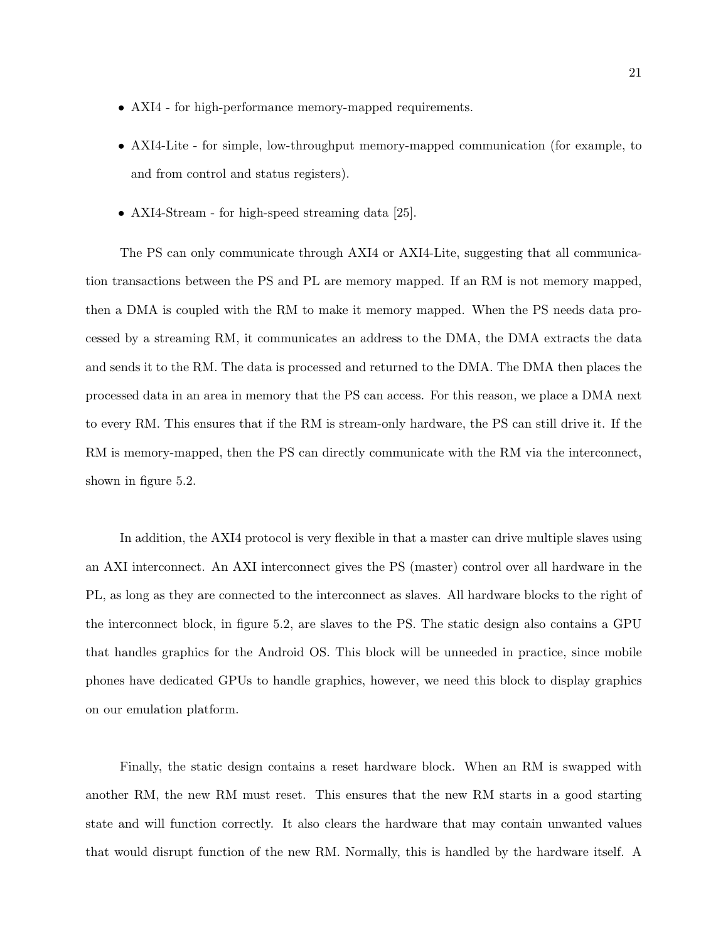- AXI4 for high-performance memory-mapped requirements.
- AXI4-Lite for simple, low-throughput memory-mapped communication (for example, to and from control and status registers).
- AXI4-Stream for high-speed streaming data [25].

The PS can only communicate through AXI4 or AXI4-Lite, suggesting that all communication transactions between the PS and PL are memory mapped. If an RM is not memory mapped, then a DMA is coupled with the RM to make it memory mapped. When the PS needs data processed by a streaming RM, it communicates an address to the DMA, the DMA extracts the data and sends it to the RM. The data is processed and returned to the DMA. The DMA then places the processed data in an area in memory that the PS can access. For this reason, we place a DMA next to every RM. This ensures that if the RM is stream-only hardware, the PS can still drive it. If the RM is memory-mapped, then the PS can directly communicate with the RM via the interconnect, shown in figure 5.2.

In addition, the AXI4 protocol is very flexible in that a master can drive multiple slaves using an AXI interconnect. An AXI interconnect gives the PS (master) control over all hardware in the PL, as long as they are connected to the interconnect as slaves. All hardware blocks to the right of the interconnect block, in figure 5.2, are slaves to the PS. The static design also contains a GPU that handles graphics for the Android OS. This block will be unneeded in practice, since mobile phones have dedicated GPUs to handle graphics, however, we need this block to display graphics on our emulation platform.

Finally, the static design contains a reset hardware block. When an RM is swapped with another RM, the new RM must reset. This ensures that the new RM starts in a good starting state and will function correctly. It also clears the hardware that may contain unwanted values that would disrupt function of the new RM. Normally, this is handled by the hardware itself. A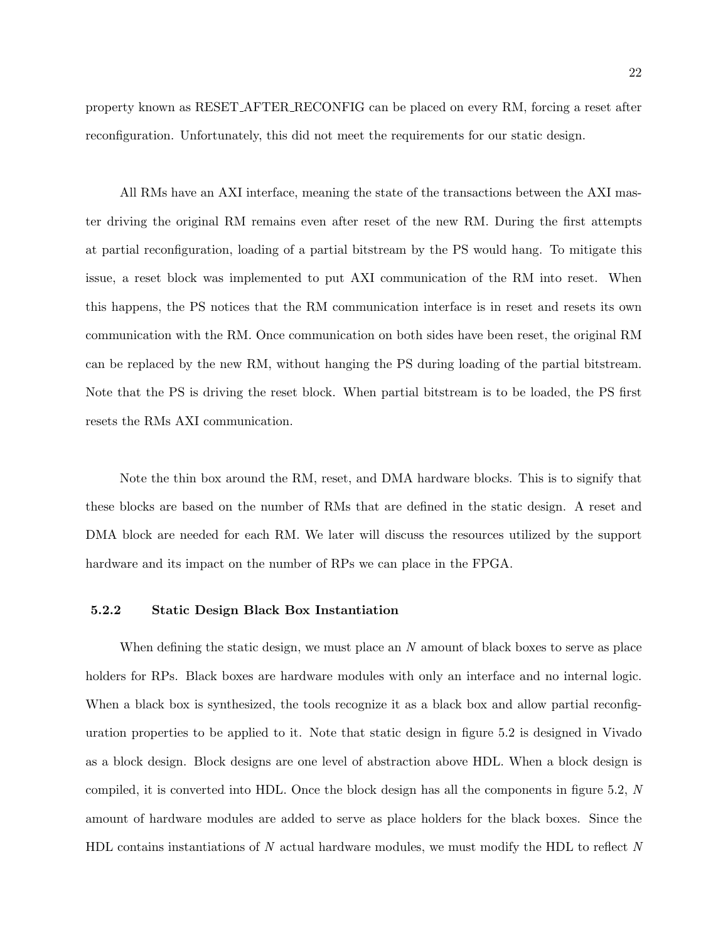property known as RESET AFTER RECONFIG can be placed on every RM, forcing a reset after reconfiguration. Unfortunately, this did not meet the requirements for our static design.

All RMs have an AXI interface, meaning the state of the transactions between the AXI master driving the original RM remains even after reset of the new RM. During the first attempts at partial reconfiguration, loading of a partial bitstream by the PS would hang. To mitigate this issue, a reset block was implemented to put AXI communication of the RM into reset. When this happens, the PS notices that the RM communication interface is in reset and resets its own communication with the RM. Once communication on both sides have been reset, the original RM can be replaced by the new RM, without hanging the PS during loading of the partial bitstream. Note that the PS is driving the reset block. When partial bitstream is to be loaded, the PS first resets the RMs AXI communication.

Note the thin box around the RM, reset, and DMA hardware blocks. This is to signify that these blocks are based on the number of RMs that are defined in the static design. A reset and DMA block are needed for each RM. We later will discuss the resources utilized by the support hardware and its impact on the number of RPs we can place in the FPGA.

#### 5.2.2 Static Design Black Box Instantiation

When defining the static design, we must place an  $N$  amount of black boxes to serve as place holders for RPs. Black boxes are hardware modules with only an interface and no internal logic. When a black box is synthesized, the tools recognize it as a black box and allow partial reconfiguration properties to be applied to it. Note that static design in figure 5.2 is designed in Vivado as a block design. Block designs are one level of abstraction above HDL. When a block design is compiled, it is converted into HDL. Once the block design has all the components in figure 5.2, N amount of hardware modules are added to serve as place holders for the black boxes. Since the HDL contains instantiations of N actual hardware modules, we must modify the HDL to reflect  $N$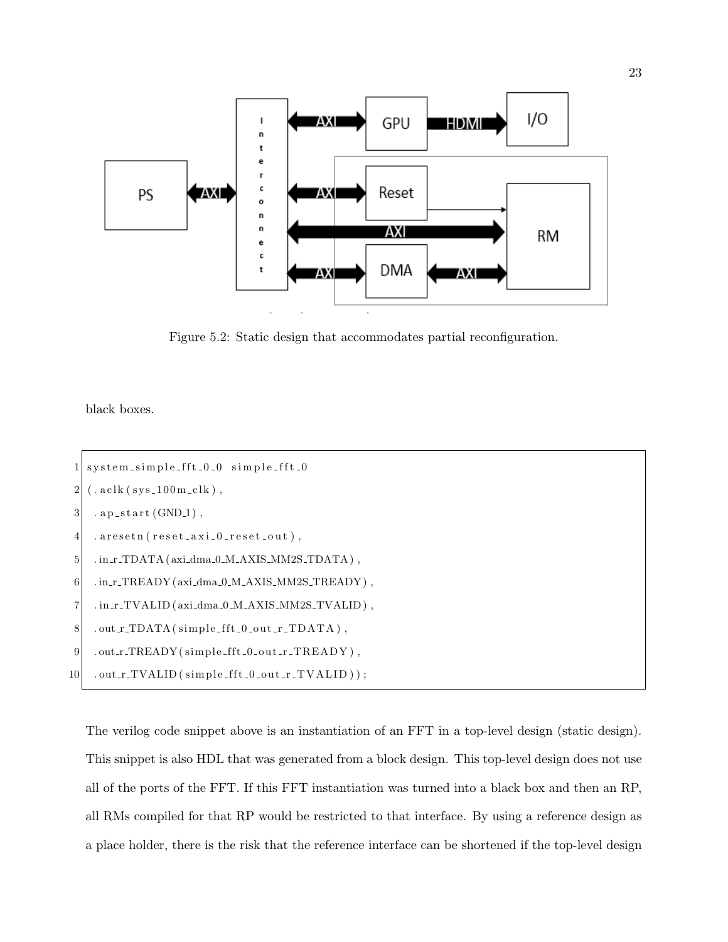

Figure 5.2: Static design that accommodates partial reconfiguration.

black boxes.

```
1 system_simple_fft_0_0 simple_fft_0
2 \mid (. a clk (sys_100m_clk),
3 . a p _ start (GND_1),
4 . a reset n (reset_axi_0_reset_out),
5 .in_r_TDATA(axi_dma_0_M_AXIS_MM2S_TDATA),
6 . in_r_TREADY(axi_dma_0_M_AXIS_MM2S_TREADY),
7 .in_r_TVALID(axi_dma_0_M_AXIS_MM2S_TVALID),
8 . out r TDATA (simple fft 0 out r TDATA),
9 .out_r_TREADY(simple_fft_0_out_r_TREADY),
10 . out_r_TVALID(simple_fft_0_out_r_TVALID));
```
The verilog code snippet above is an instantiation of an FFT in a top-level design (static design). This snippet is also HDL that was generated from a block design. This top-level design does not use all of the ports of the FFT. If this FFT instantiation was turned into a black box and then an RP, all RMs compiled for that RP would be restricted to that interface. By using a reference design as a place holder, there is the risk that the reference interface can be shortened if the top-level design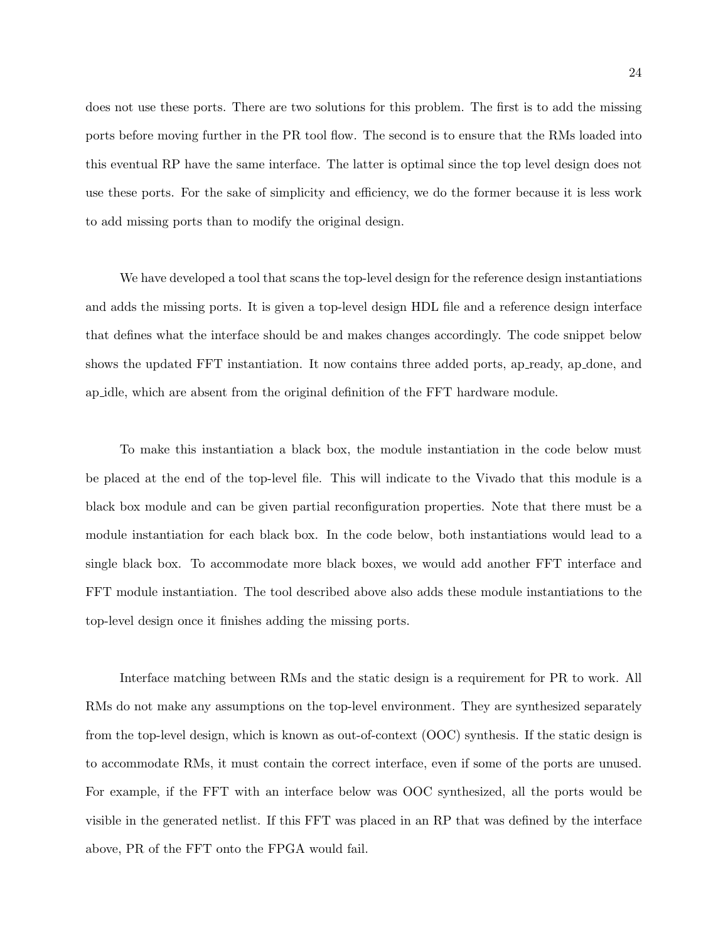does not use these ports. There are two solutions for this problem. The first is to add the missing ports before moving further in the PR tool flow. The second is to ensure that the RMs loaded into this eventual RP have the same interface. The latter is optimal since the top level design does not use these ports. For the sake of simplicity and efficiency, we do the former because it is less work to add missing ports than to modify the original design.

We have developed a tool that scans the top-level design for the reference design instantiations and adds the missing ports. It is given a top-level design HDL file and a reference design interface that defines what the interface should be and makes changes accordingly. The code snippet below shows the updated FFT instantiation. It now contains three added ports, ap ready, ap done, and ap idle, which are absent from the original definition of the FFT hardware module.

To make this instantiation a black box, the module instantiation in the code below must be placed at the end of the top-level file. This will indicate to the Vivado that this module is a black box module and can be given partial reconfiguration properties. Note that there must be a module instantiation for each black box. In the code below, both instantiations would lead to a single black box. To accommodate more black boxes, we would add another FFT interface and FFT module instantiation. The tool described above also adds these module instantiations to the top-level design once it finishes adding the missing ports.

Interface matching between RMs and the static design is a requirement for PR to work. All RMs do not make any assumptions on the top-level environment. They are synthesized separately from the top-level design, which is known as out-of-context (OOC) synthesis. If the static design is to accommodate RMs, it must contain the correct interface, even if some of the ports are unused. For example, if the FFT with an interface below was OOC synthesized, all the ports would be visible in the generated netlist. If this FFT was placed in an RP that was defined by the interface above, PR of the FFT onto the FPGA would fail.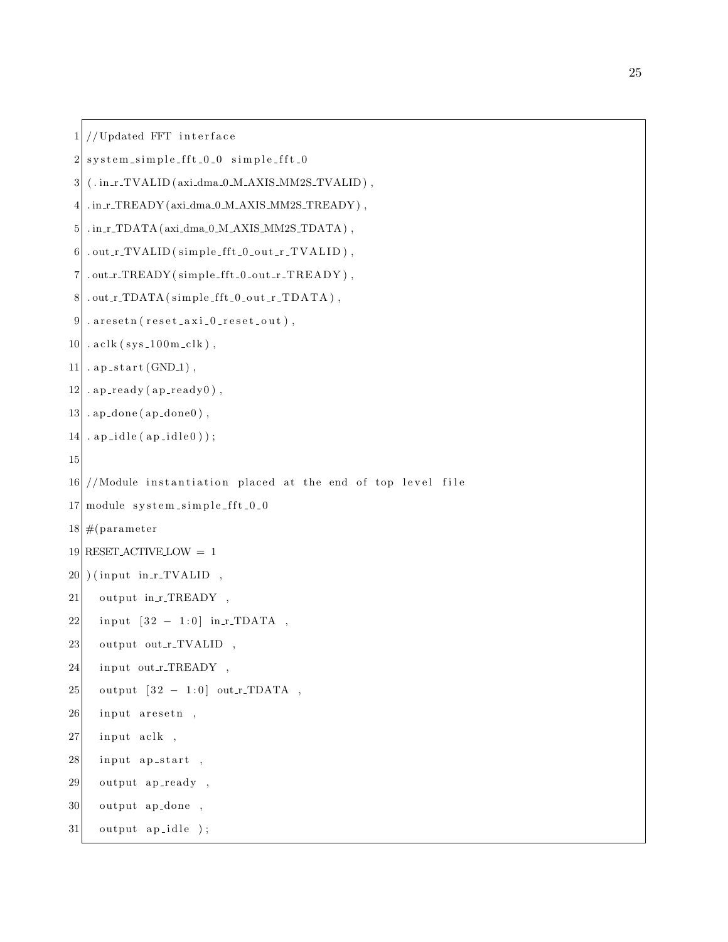$1 / U$ pdated FFT interface

```
2 system_simple_fft_0_0 simple_fft_0
```

```
3 (. in_r_TVALID (axi_dma_0_M_AXIS_MM2S_TVALID),
```

```
4 . in_r_TREADY (axi_dma_0_M_AXIS_MM2S_TREADY),
```

```
5 . in_r_TDATA (axi_dma_0_M_AXIS_MM2S_TDATA),
```

```
6. out_r_TVALID(simple_fft_0_out_r_TVALID),
```

```
7. out_r_TREADY(simple_fft_0_out_r_TREADY),
```

```
8. out_r_TDATA(simple\_fft\_0_out_r_TDATA),
```

```
9. a r e s e t n ( \text{reset} a x i \text{0} r e s e t \text{1} out),
```

```
10. a clk (sys_100m_clk),
```

```
11. a p_start (GND_1),
```

```
12. ap_ready(ap_ready0),
```

```
13. ap-done (ap-done 0),
```

```
14. a p _i d l e ( a p _i d l e 0) ) ;
```

```
15
```
//Module instantiation placed at the end of top level file

```
17 \text{ module } system_simple_fft_0_0
```

```
18 \#(parameter)
```

```
19 RESET ACTIVE LOW = 1
```

```
20 ) (input in_r_TVALID,
```

```
21 output in_r_TREADY,
```

```
22 input [32 - 1:0] in_r_TDATA,
```

```
23 output out_r_TVALID,
```

```
24 input out_r_TREADY,
```

```
25 output [32 - 1:0] out_r_TDATA,
```

```
26 input aresetn,
```

```
27 input aclk,
```

```
28 input ap_start,
```

```
29 output ap-ready,
```

```
30 output ap done ,
```

```
31 output a p_idle );
```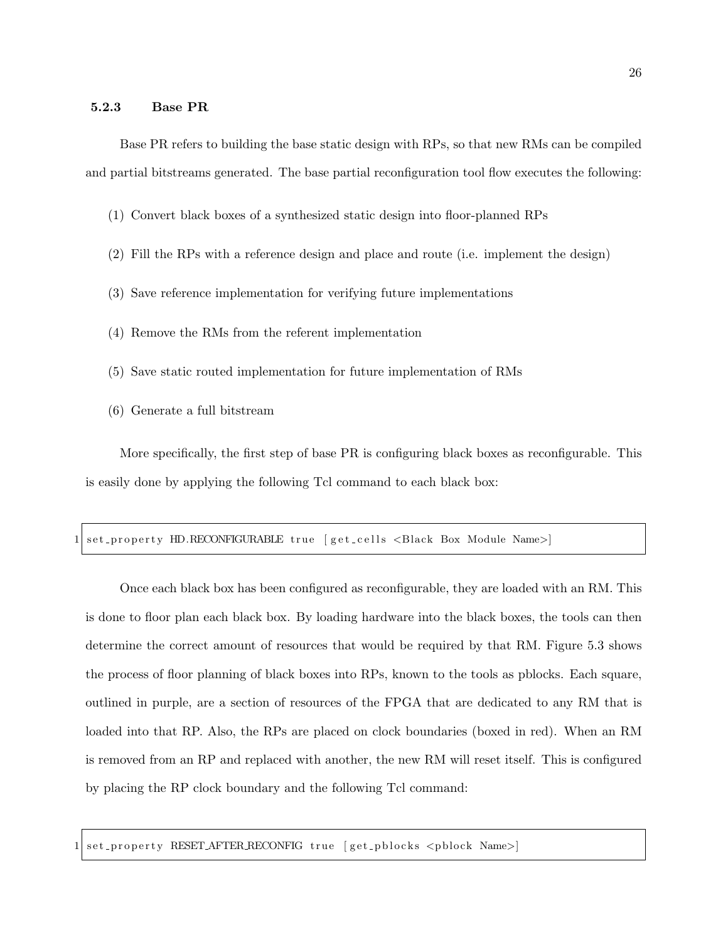#### 5.2.3 Base PR

Base PR refers to building the base static design with RPs, so that new RMs can be compiled and partial bitstreams generated. The base partial reconfiguration tool flow executes the following:

- (1) Convert black boxes of a synthesized static design into floor-planned RPs
- (2) Fill the RPs with a reference design and place and route (i.e. implement the design)
- (3) Save reference implementation for verifying future implementations
- (4) Remove the RMs from the referent implementation
- (5) Save static routed implementation for future implementation of RMs
- (6) Generate a full bitstream

More specifically, the first step of base PR is configuring black boxes as reconfigurable. This is easily done by applying the following Tcl command to each black box:

| 1  set_property HD.RECONFIGURABLE true [get_cells <black box="" module="" name="">]</black> |  |  |
|---------------------------------------------------------------------------------------------|--|--|
|---------------------------------------------------------------------------------------------|--|--|

Once each black box has been configured as reconfigurable, they are loaded with an RM. This is done to floor plan each black box. By loading hardware into the black boxes, the tools can then determine the correct amount of resources that would be required by that RM. Figure 5.3 shows the process of floor planning of black boxes into RPs, known to the tools as pblocks. Each square, outlined in purple, are a section of resources of the FPGA that are dedicated to any RM that is loaded into that RP. Also, the RPs are placed on clock boundaries (boxed in red). When an RM is removed from an RP and replaced with another, the new RM will reset itself. This is configured by placing the RP clock boundary and the following Tcl command:

1 set property RESET AFTER RECONFIG true [get pblocks <pblock Name>]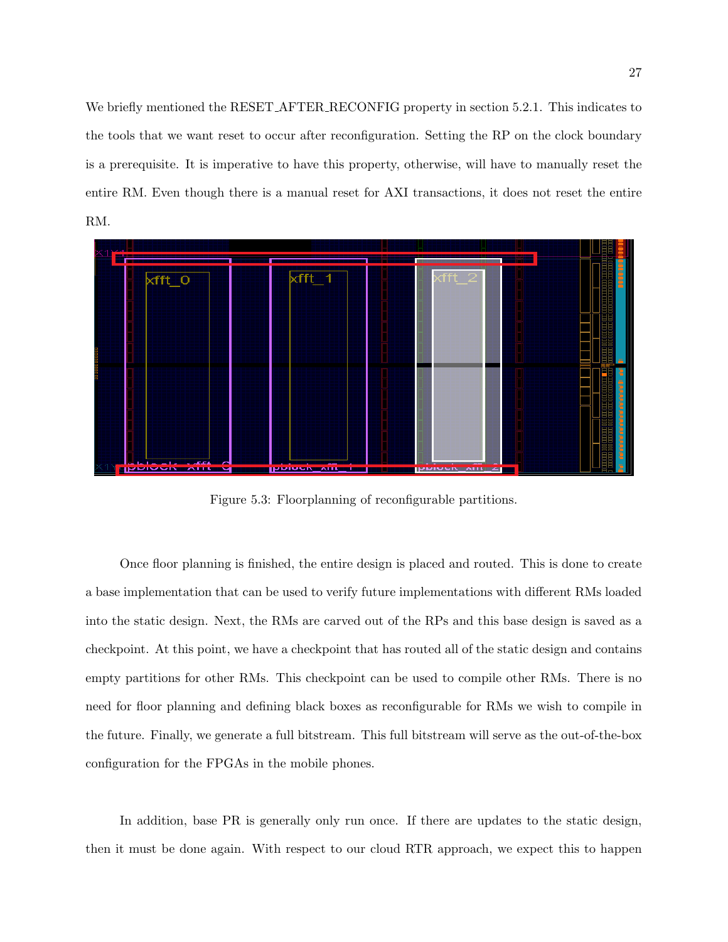We briefly mentioned the RESET\_AFTER\_RECONFIG property in section 5.2.1. This indicates to the tools that we want reset to occur after reconfiguration. Setting the RP on the clock boundary is a prerequisite. It is imperative to have this property, otherwise, will have to manually reset the entire RM. Even though there is a manual reset for AXI transactions, it does not reset the entire RM.



Figure 5.3: Floorplanning of reconfigurable partitions.

Once floor planning is finished, the entire design is placed and routed. This is done to create a base implementation that can be used to verify future implementations with different RMs loaded into the static design. Next, the RMs are carved out of the RPs and this base design is saved as a checkpoint. At this point, we have a checkpoint that has routed all of the static design and contains empty partitions for other RMs. This checkpoint can be used to compile other RMs. There is no need for floor planning and defining black boxes as reconfigurable for RMs we wish to compile in the future. Finally, we generate a full bitstream. This full bitstream will serve as the out-of-the-box configuration for the FPGAs in the mobile phones.

In addition, base PR is generally only run once. If there are updates to the static design, then it must be done again. With respect to our cloud RTR approach, we expect this to happen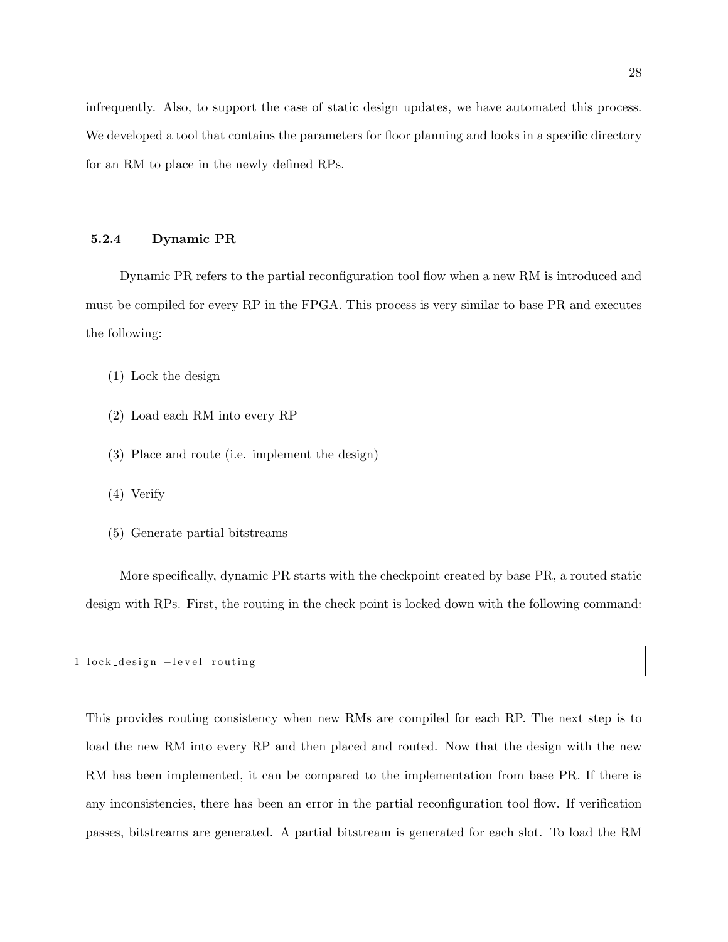infrequently. Also, to support the case of static design updates, we have automated this process. We developed a tool that contains the parameters for floor planning and looks in a specific directory for an RM to place in the newly defined RPs.

#### 5.2.4 Dynamic PR

Dynamic PR refers to the partial reconfiguration tool flow when a new RM is introduced and must be compiled for every RP in the FPGA. This process is very similar to base PR and executes the following:

- (1) Lock the design
- (2) Load each RM into every RP
- (3) Place and route (i.e. implement the design)
- (4) Verify
- (5) Generate partial bitstreams

More specifically, dynamic PR starts with the checkpoint created by base PR, a routed static design with RPs. First, the routing in the check point is locked down with the following command:

## lock\_design -level routing

This provides routing consistency when new RMs are compiled for each RP. The next step is to load the new RM into every RP and then placed and routed. Now that the design with the new RM has been implemented, it can be compared to the implementation from base PR. If there is any inconsistencies, there has been an error in the partial reconfiguration tool flow. If verification passes, bitstreams are generated. A partial bitstream is generated for each slot. To load the RM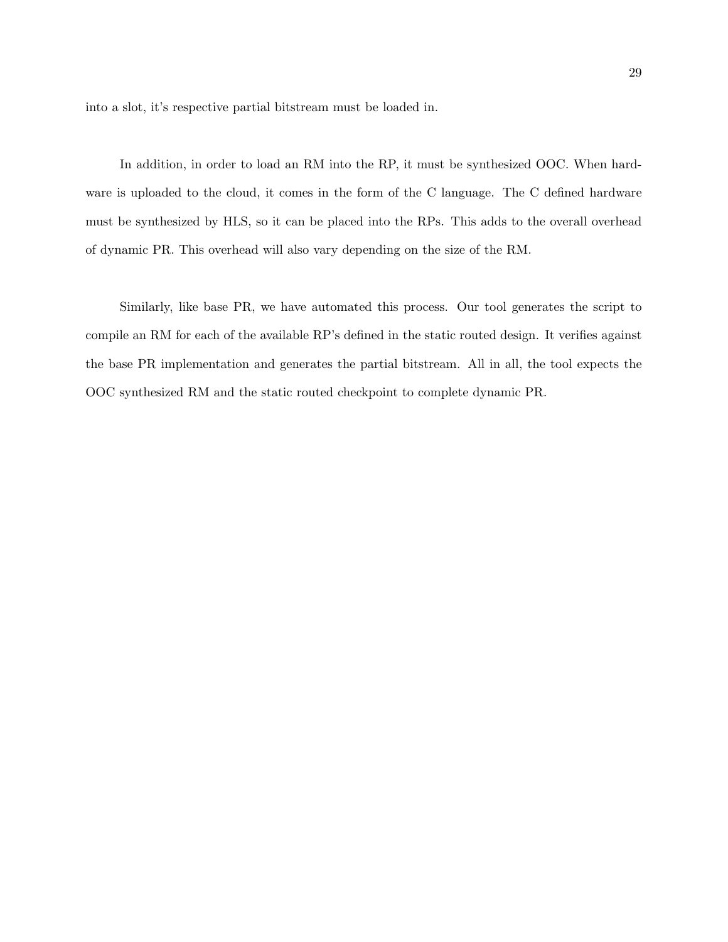into a slot, it's respective partial bitstream must be loaded in.

In addition, in order to load an RM into the RP, it must be synthesized OOC. When hardware is uploaded to the cloud, it comes in the form of the C language. The C defined hardware must be synthesized by HLS, so it can be placed into the RPs. This adds to the overall overhead of dynamic PR. This overhead will also vary depending on the size of the RM.

Similarly, like base PR, we have automated this process. Our tool generates the script to compile an RM for each of the available RP's defined in the static routed design. It verifies against the base PR implementation and generates the partial bitstream. All in all, the tool expects the OOC synthesized RM and the static routed checkpoint to complete dynamic PR.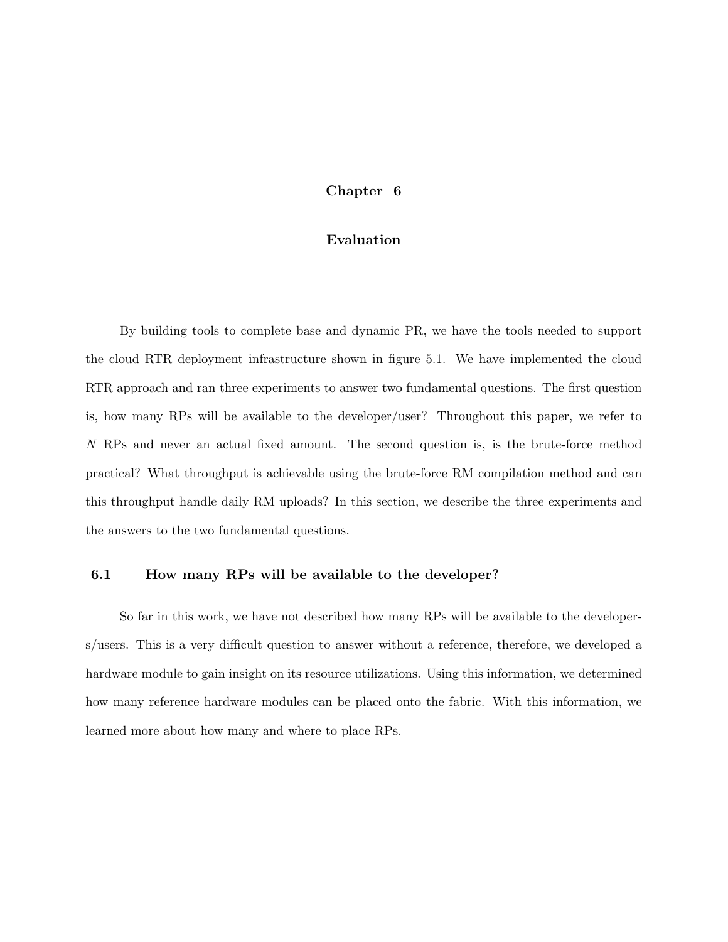## Chapter 6

#### Evaluation

By building tools to complete base and dynamic PR, we have the tools needed to support the cloud RTR deployment infrastructure shown in figure 5.1. We have implemented the cloud RTR approach and ran three experiments to answer two fundamental questions. The first question is, how many RPs will be available to the developer/user? Throughout this paper, we refer to N RPs and never an actual fixed amount. The second question is, is the brute-force method practical? What throughput is achievable using the brute-force RM compilation method and can this throughput handle daily RM uploads? In this section, we describe the three experiments and the answers to the two fundamental questions.

#### 6.1 How many RPs will be available to the developer?

So far in this work, we have not described how many RPs will be available to the developers/users. This is a very difficult question to answer without a reference, therefore, we developed a hardware module to gain insight on its resource utilizations. Using this information, we determined how many reference hardware modules can be placed onto the fabric. With this information, we learned more about how many and where to place RPs.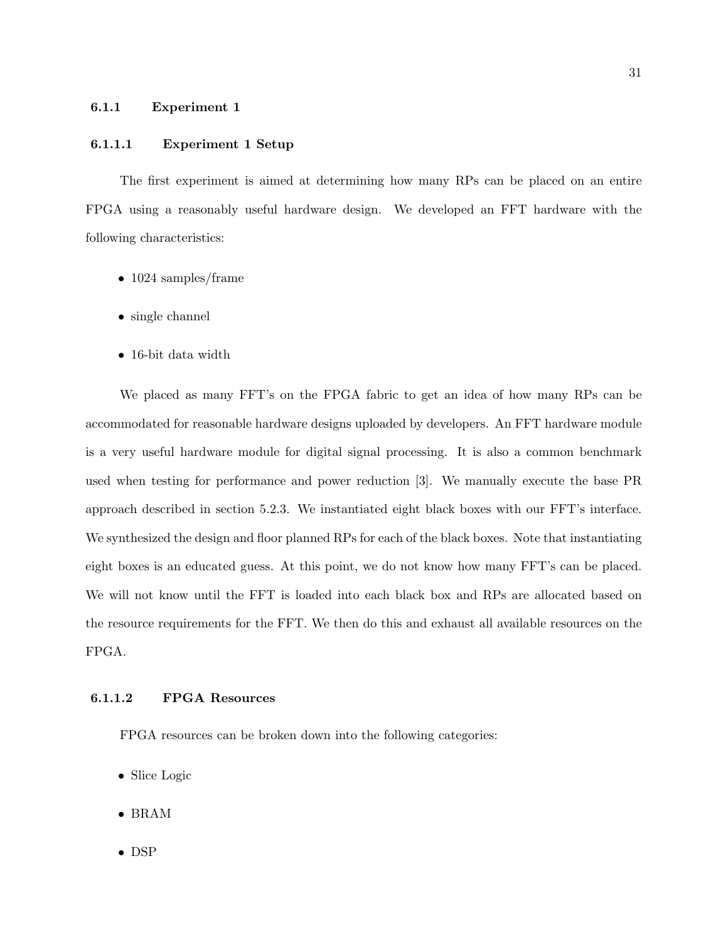#### 6.1.1 Experiment 1

#### 6.1.1.1 Experiment 1 Setup

The first experiment is aimed at determining how many RPs can be placed on an entire FPGA using a reasonably useful hardware design. We developed an FFT hardware with the following characteristics:

- 1024 samples/frame
- single channel
- 16-bit data width

We placed as many FFT's on the FPGA fabric to get an idea of how many RPs can be accommodated for reasonable hardware designs uploaded by developers. An FFT hardware module is a very useful hardware module for digital signal processing. It is also a common benchmark used when testing for performance and power reduction [3]. We manually execute the base PR approach described in section 5.2.3. We instantiated eight black boxes with our FFT's interface. We synthesized the design and floor planned RPs for each of the black boxes. Note that instantiating eight boxes is an educated guess. At this point, we do not know how many FFT's can be placed. We will not know until the FFT is loaded into each black box and RPs are allocated based on the resource requirements for the FFT. We then do this and exhaust all available resources on the FPGA.

#### 6.1.1.2 FPGA Resources

FPGA resources can be broken down into the following categories:

- Slice Logic
- BRAM
- DSP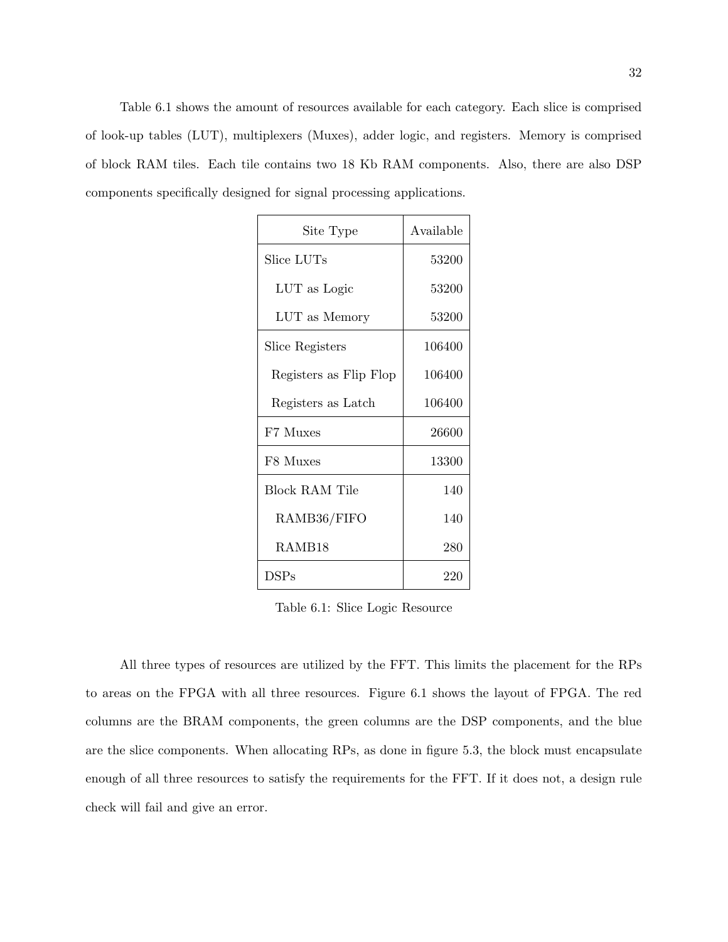Table 6.1 shows the amount of resources available for each category. Each slice is comprised of look-up tables (LUT), multiplexers (Muxes), adder logic, and registers. Memory is comprised of block RAM tiles. Each tile contains two 18 Kb RAM components. Also, there are also DSP components specifically designed for signal processing applications.

| Site Type              | Available |
|------------------------|-----------|
| Slice LUTs             | 53200     |
| LUT as Logic           | 53200     |
| LUT as Memory          | 53200     |
| Slice Registers        | 106400    |
| Registers as Flip Flop | 106400    |
| Registers as Latch     | 106400    |
| F7 Muxes               | 26600     |
| F8 Muxes               | 13300     |
| Block RAM Tile         | 140       |
| RAMB36/FIFO            | 140       |
| RAMB18                 | 280       |
| DSPs                   | 220       |

Table 6.1: Slice Logic Resource

All three types of resources are utilized by the FFT. This limits the placement for the RPs to areas on the FPGA with all three resources. Figure 6.1 shows the layout of FPGA. The red columns are the BRAM components, the green columns are the DSP components, and the blue are the slice components. When allocating RPs, as done in figure 5.3, the block must encapsulate enough of all three resources to satisfy the requirements for the FFT. If it does not, a design rule check will fail and give an error.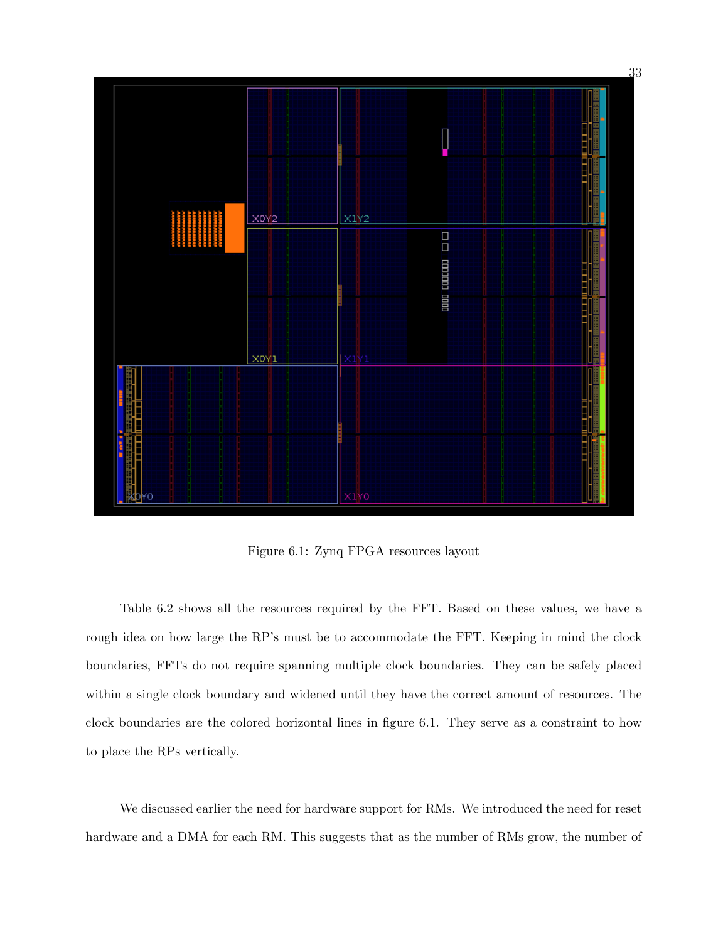

Figure 6.1: Zynq FPGA resources layout

Table 6.2 shows all the resources required by the FFT. Based on these values, we have a rough idea on how large the RP's must be to accommodate the FFT. Keeping in mind the clock boundaries, FFTs do not require spanning multiple clock boundaries. They can be safely placed within a single clock boundary and widened until they have the correct amount of resources. The clock boundaries are the colored horizontal lines in figure 6.1. They serve as a constraint to how to place the RPs vertically.

We discussed earlier the need for hardware support for RMs. We introduced the need for reset hardware and a DMA for each RM. This suggests that as the number of RMs grow, the number of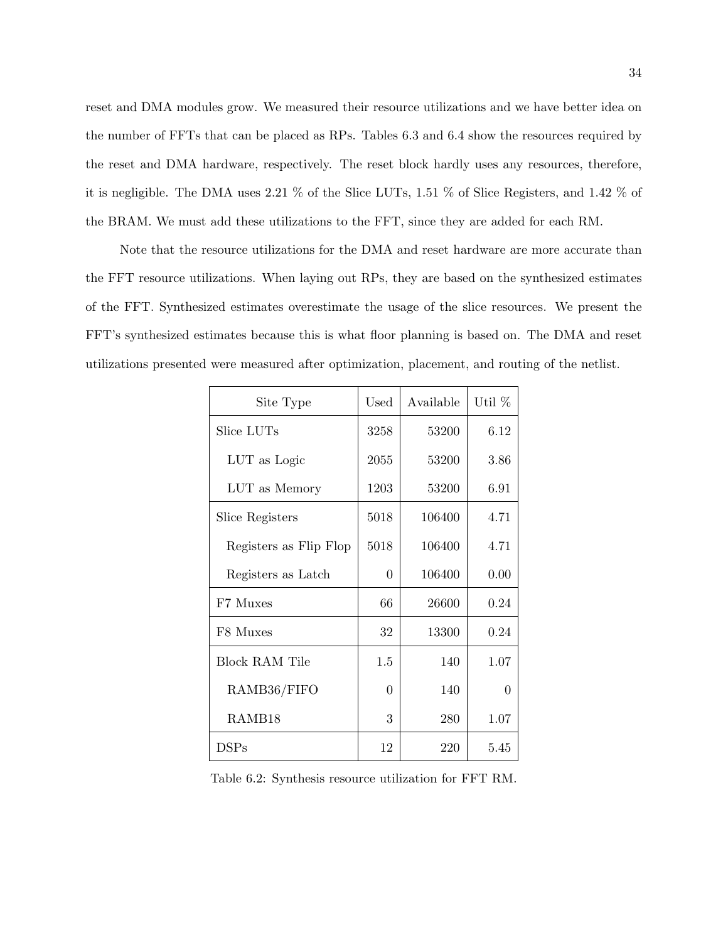reset and DMA modules grow. We measured their resource utilizations and we have better idea on the number of FFTs that can be placed as RPs. Tables 6.3 and 6.4 show the resources required by the reset and DMA hardware, respectively. The reset block hardly uses any resources, therefore, it is negligible. The DMA uses 2.21 % of the Slice LUTs, 1.51 % of Slice Registers, and 1.42 % of the BRAM. We must add these utilizations to the FFT, since they are added for each RM.

Note that the resource utilizations for the DMA and reset hardware are more accurate than the FFT resource utilizations. When laying out RPs, they are based on the synthesized estimates of the FFT. Synthesized estimates overestimate the usage of the slice resources. We present the FFT's synthesized estimates because this is what floor planning is based on. The DMA and reset utilizations presented were measured after optimization, placement, and routing of the netlist.

| Site Type              | Used | Available | Util $%$     |
|------------------------|------|-----------|--------------|
| Slice LUTs             | 3258 | 53200     | 6.12         |
| LUT as Logic           | 2055 | 53200     | 3.86         |
| LUT as Memory          | 1203 | 53200     | 6.91         |
| Slice Registers        | 5018 | 106400    | 4.71         |
| Registers as Flip Flop | 5018 | 106400    | 4.71         |
| Registers as Latch     | 0    | 106400    | 0.00         |
| F7 Muxes               | 66   | 26600     | 0.24         |
| F8 Muxes               | 32   | 13300     | 0.24         |
| <b>Block RAM Tile</b>  | 1.5  | 140       | 1.07         |
| RAMB36/FIFO            | 0    | 140       | $\mathbf{0}$ |
| RAMB18                 | 3    | 280       | 1.07         |
| DSPs                   | 12   | 220       | 5.45         |

Table 6.2: Synthesis resource utilization for FFT RM.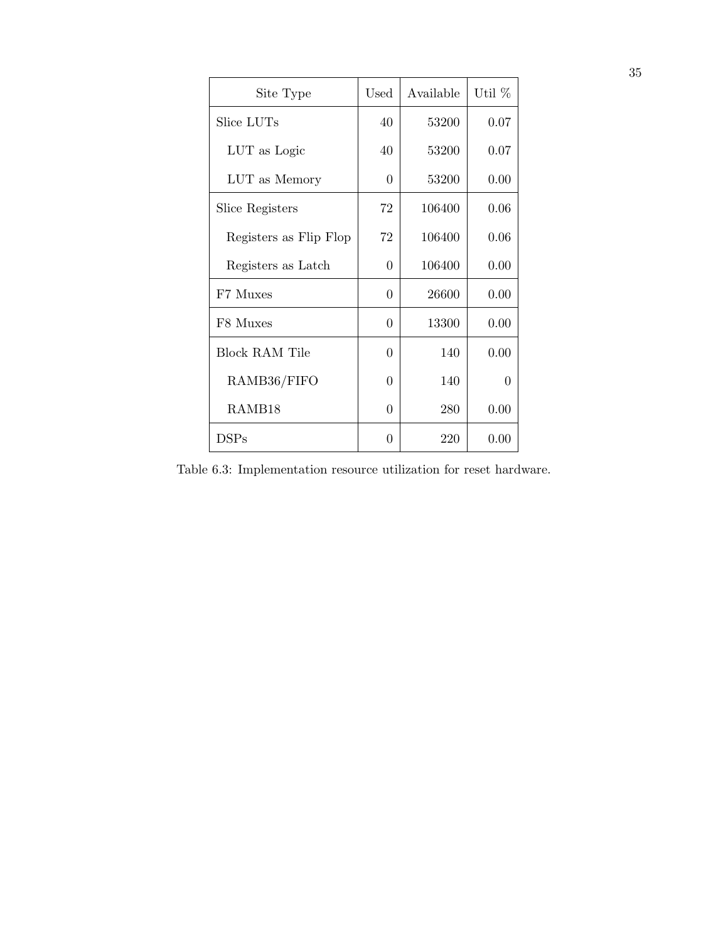| Site Type              | Used     | Available | Util $%$ |
|------------------------|----------|-----------|----------|
| Slice LUTs             | 40       | 53200     | 0.07     |
| LUT as Logic           | 40       | 53200     | 0.07     |
| LUT as Memory          | 0        | 53200     | 0.00     |
| Slice Registers        | 72       | 106400    | 0.06     |
| Registers as Flip Flop | 72       | 106400    | 0.06     |
| Registers as Latch     | 0        | 106400    | 0.00     |
| F7 Muxes               | 0        | 26600     | 0.00     |
| F8 Muxes               | $\theta$ | 13300     | 0.00     |
| <b>Block RAM Tile</b>  | $\theta$ | 140       | 0.00     |
| RAMB36/FIFO            | 0        | 140       | 0        |
| RAMB <sub>18</sub>     | $\theta$ | 280       | 0.00     |
| DSPs                   | 0        | 220       | 0.00     |

Table 6.3: Implementation resource utilization for reset hardware.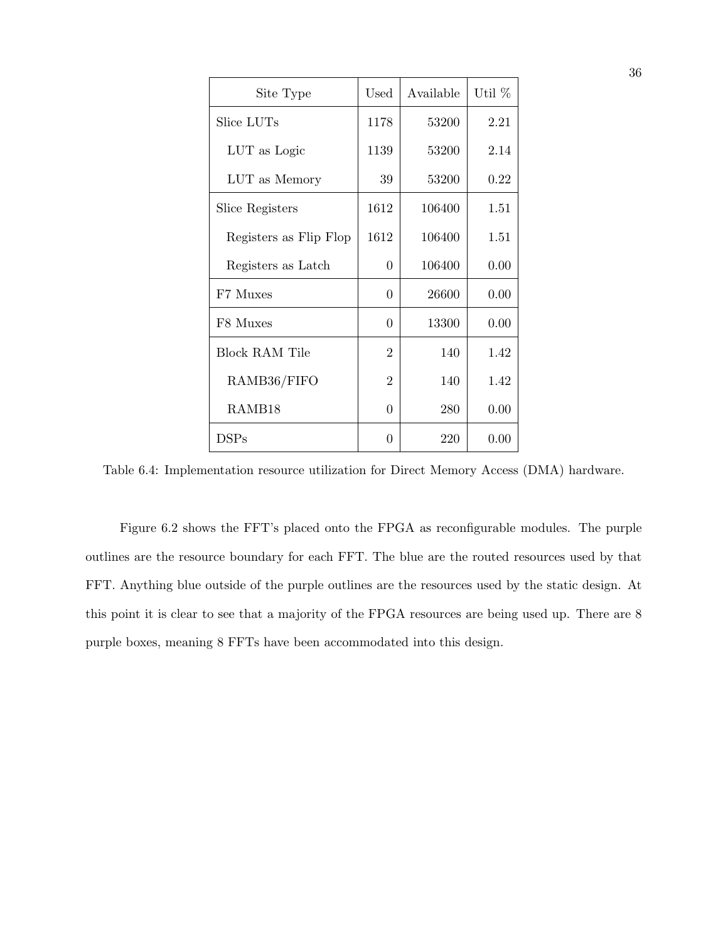| Site Type              | Used           | Available | Util $%$ |
|------------------------|----------------|-----------|----------|
| Slice LUTs             | 1178           | 53200     | 2.21     |
| LUT as Logic           | 1139           | 53200     | 2.14     |
| LUT as Memory          | 39             | 53200     | 0.22     |
| Slice Registers        | 1612           | 106400    | 1.51     |
| Registers as Flip Flop | 1612           | 106400    | 1.51     |
| Registers as Latch     | 0              | 106400    | 0.00     |
| F7 Muxes               | 0              | 26600     | 0.00     |
| F8 Muxes               | 0              | 13300     | 0.00     |
| Block RAM Tile         | $\overline{2}$ | 140       | 1.42     |
| RAMB36/FIFO            | $\overline{2}$ | 140       | 1.42     |
| RAMB18                 | $\theta$       | 280       | 0.00     |
| DSPs                   | 0              | 220       | 0.00     |

Table 6.4: Implementation resource utilization for Direct Memory Access (DMA) hardware.

Figure 6.2 shows the FFT's placed onto the FPGA as reconfigurable modules. The purple outlines are the resource boundary for each FFT. The blue are the routed resources used by that FFT. Anything blue outside of the purple outlines are the resources used by the static design. At this point it is clear to see that a majority of the FPGA resources are being used up. There are 8 purple boxes, meaning 8 FFTs have been accommodated into this design.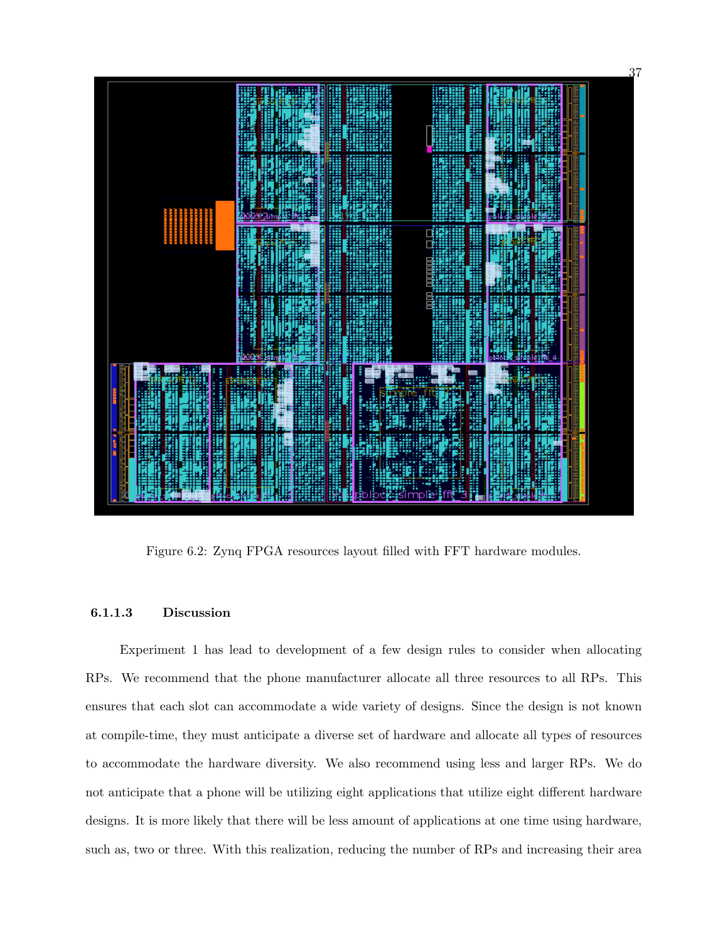

Figure 6.2: Zynq FPGA resources layout filled with FFT hardware modules.

#### 6.1.1.3 Discussion

Experiment 1 has lead to development of a few design rules to consider when allocating RPs. We recommend that the phone manufacturer allocate all three resources to all RPs. This ensures that each slot can accommodate a wide variety of designs. Since the design is not known at compile-time, they must anticipate a diverse set of hardware and allocate all types of resources to accommodate the hardware diversity. We also recommend using less and larger RPs. We do not anticipate that a phone will be utilizing eight applications that utilize eight different hardware designs. It is more likely that there will be less amount of applications at one time using hardware, such as, two or three. With this realization, reducing the number of RPs and increasing their area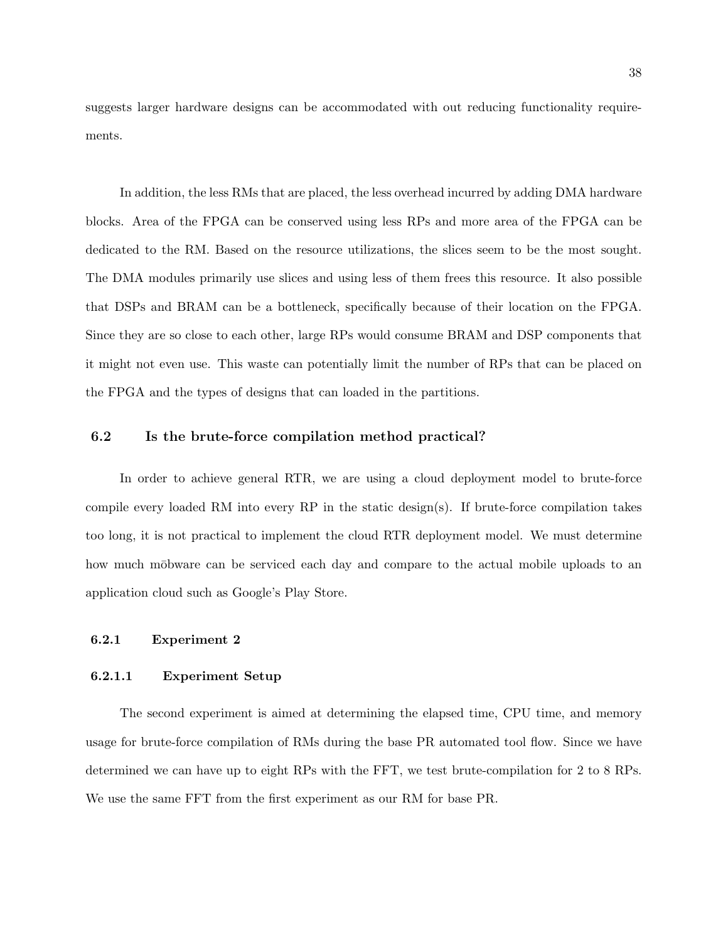suggests larger hardware designs can be accommodated with out reducing functionality requirements.

In addition, the less RMs that are placed, the less overhead incurred by adding DMA hardware blocks. Area of the FPGA can be conserved using less RPs and more area of the FPGA can be dedicated to the RM. Based on the resource utilizations, the slices seem to be the most sought. The DMA modules primarily use slices and using less of them frees this resource. It also possible that DSPs and BRAM can be a bottleneck, specifically because of their location on the FPGA. Since they are so close to each other, large RPs would consume BRAM and DSP components that it might not even use. This waste can potentially limit the number of RPs that can be placed on the FPGA and the types of designs that can loaded in the partitions.

## 6.2 Is the brute-force compilation method practical?

In order to achieve general RTR, we are using a cloud deployment model to brute-force compile every loaded RM into every RP in the static design(s). If brute-force compilation takes too long, it is not practical to implement the cloud RTR deployment model. We must determine how much mobware can be serviced each day and compare to the actual mobile uploads to an application cloud such as Google's Play Store.

#### 6.2.1 Experiment 2

#### 6.2.1.1 Experiment Setup

The second experiment is aimed at determining the elapsed time, CPU time, and memory usage for brute-force compilation of RMs during the base PR automated tool flow. Since we have determined we can have up to eight RPs with the FFT, we test brute-compilation for 2 to 8 RPs. We use the same FFT from the first experiment as our RM for base PR.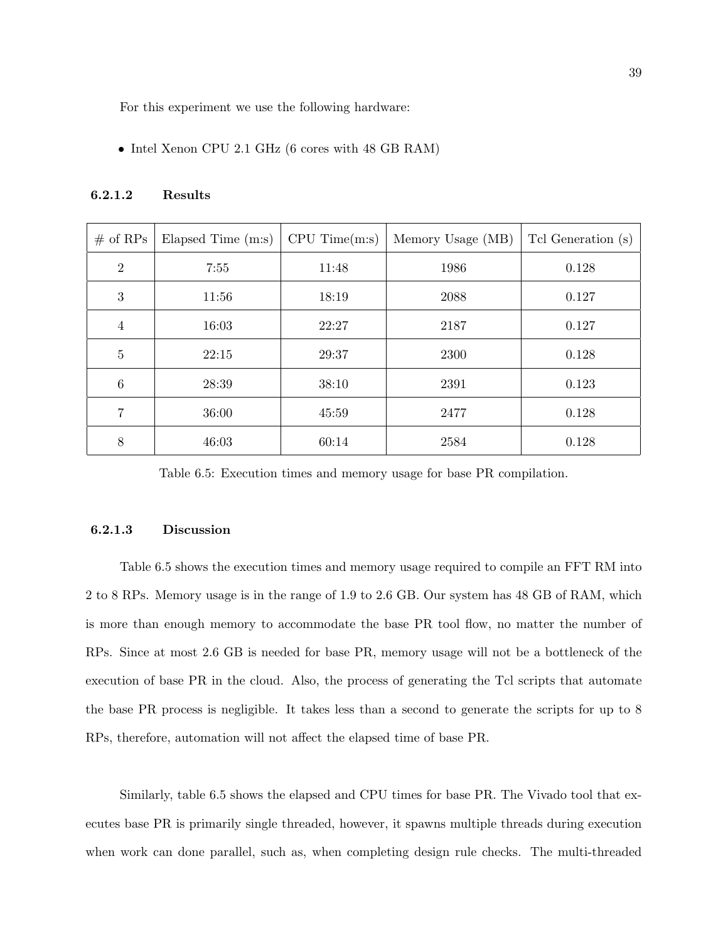For this experiment we use the following hardware:

• Intel Xenon CPU 2.1 GHz (6 cores with 48 GB RAM)

| $\#$ of RPs     | Elapsed Time (m:s) | CPU Time(m:s) | Memory Usage (MB) | Tcl Generation (s) |
|-----------------|--------------------|---------------|-------------------|--------------------|
| 2               | 7:55               | 11:48         | 1986              | 0.128              |
| 3               | 11:56              | 18:19         | 2088              | 0.127              |
| $\overline{4}$  | 16:03              | 22:27         | 2187              | 0.127              |
| $\overline{5}$  | 22:15              | 29:37         | 2300              | 0.128              |
| $6\phantom{.}6$ | 28:39              | 38:10         | 2391              | 0.123              |
| 7               | 36:00              | 45:59         | 2477              | 0.128              |
| $8\phantom{1}$  | 46:03              | 60:14         | 2584              | 0.128              |

#### 6.2.1.2 Results

Table 6.5: Execution times and memory usage for base PR compilation.

## 6.2.1.3 Discussion

Table 6.5 shows the execution times and memory usage required to compile an FFT RM into 2 to 8 RPs. Memory usage is in the range of 1.9 to 2.6 GB. Our system has 48 GB of RAM, which is more than enough memory to accommodate the base PR tool flow, no matter the number of RPs. Since at most 2.6 GB is needed for base PR, memory usage will not be a bottleneck of the execution of base PR in the cloud. Also, the process of generating the Tcl scripts that automate the base PR process is negligible. It takes less than a second to generate the scripts for up to 8 RPs, therefore, automation will not affect the elapsed time of base PR.

Similarly, table 6.5 shows the elapsed and CPU times for base PR. The Vivado tool that executes base PR is primarily single threaded, however, it spawns multiple threads during execution when work can done parallel, such as, when completing design rule checks. The multi-threaded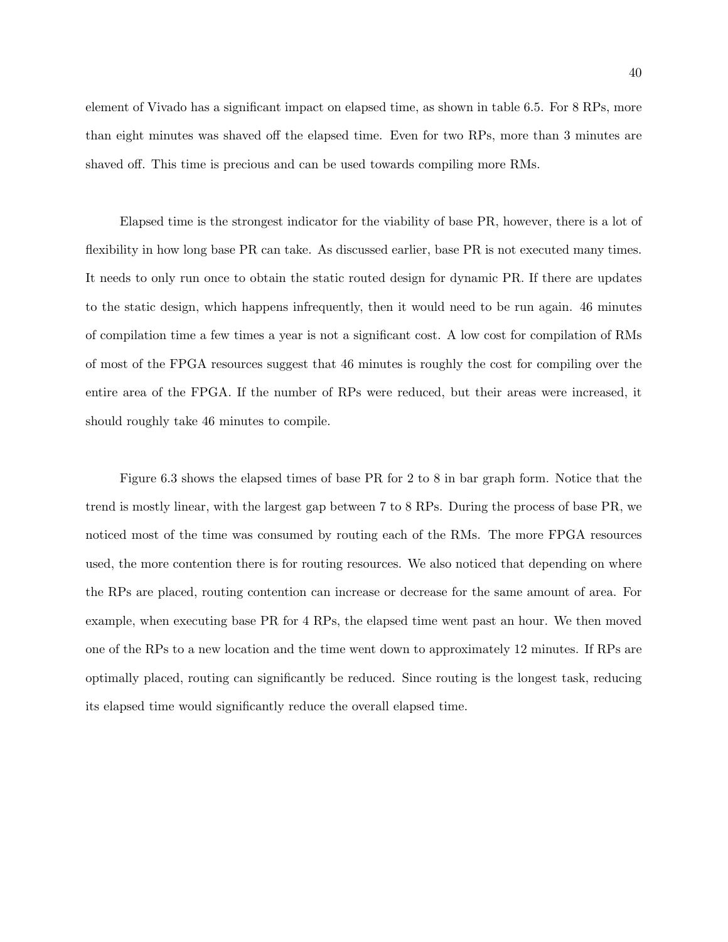element of Vivado has a significant impact on elapsed time, as shown in table 6.5. For 8 RPs, more than eight minutes was shaved off the elapsed time. Even for two RPs, more than 3 minutes are shaved off. This time is precious and can be used towards compiling more RMs.

Elapsed time is the strongest indicator for the viability of base PR, however, there is a lot of flexibility in how long base PR can take. As discussed earlier, base PR is not executed many times. It needs to only run once to obtain the static routed design for dynamic PR. If there are updates to the static design, which happens infrequently, then it would need to be run again. 46 minutes of compilation time a few times a year is not a significant cost. A low cost for compilation of RMs of most of the FPGA resources suggest that 46 minutes is roughly the cost for compiling over the entire area of the FPGA. If the number of RPs were reduced, but their areas were increased, it should roughly take 46 minutes to compile.

Figure 6.3 shows the elapsed times of base PR for 2 to 8 in bar graph form. Notice that the trend is mostly linear, with the largest gap between 7 to 8 RPs. During the process of base PR, we noticed most of the time was consumed by routing each of the RMs. The more FPGA resources used, the more contention there is for routing resources. We also noticed that depending on where the RPs are placed, routing contention can increase or decrease for the same amount of area. For example, when executing base PR for 4 RPs, the elapsed time went past an hour. We then moved one of the RPs to a new location and the time went down to approximately 12 minutes. If RPs are optimally placed, routing can significantly be reduced. Since routing is the longest task, reducing its elapsed time would significantly reduce the overall elapsed time.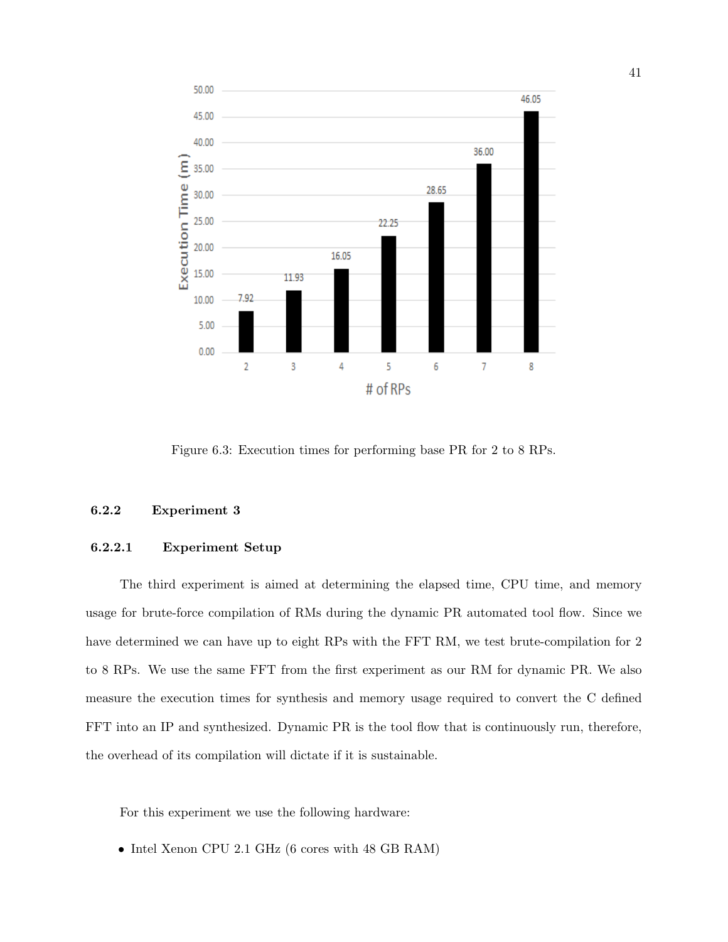

Figure 6.3: Execution times for performing base PR for 2 to 8 RPs.

## 6.2.2 Experiment 3

#### 6.2.2.1 Experiment Setup

The third experiment is aimed at determining the elapsed time, CPU time, and memory usage for brute-force compilation of RMs during the dynamic PR automated tool flow. Since we have determined we can have up to eight RPs with the FFT RM, we test brute-compilation for 2 to 8 RPs. We use the same FFT from the first experiment as our RM for dynamic PR. We also measure the execution times for synthesis and memory usage required to convert the C defined FFT into an IP and synthesized. Dynamic PR is the tool flow that is continuously run, therefore, the overhead of its compilation will dictate if it is sustainable.

For this experiment we use the following hardware:

• Intel Xenon CPU 2.1 GHz (6 cores with 48 GB RAM)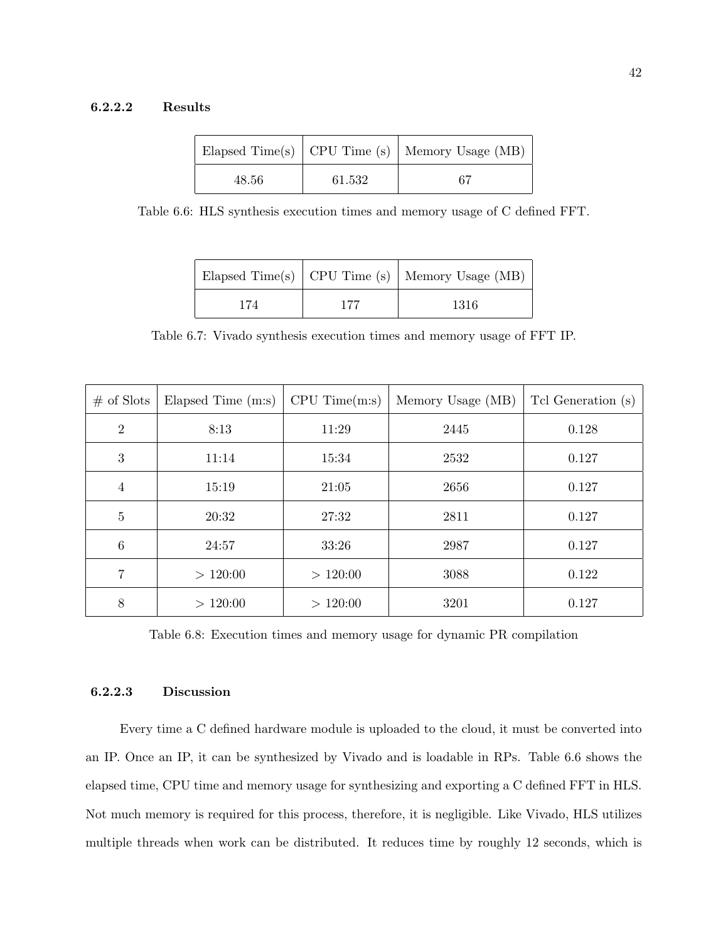## 6.2.2.2 Results

|       |        | Elapsed Time(s) $\vert$ CPU Time (s) $\vert$ Memory Usage (MB) |
|-------|--------|----------------------------------------------------------------|
| 48.56 | 61.532 |                                                                |

Table 6.6: HLS synthesis execution times and memory usage of C defined FFT.

|     | Elapsed Time(s)   CPU Time (s)   Memory Usage (MB) |
|-----|----------------------------------------------------|
| 177 | 1316                                               |

Table 6.7: Vivado synthesis execution times and memory usage of FFT IP.

| $\#$ of Slots   | Elapsed Time (m:s) | CPU Time(m:s) | Memory Usage (MB) | Tcl Generation (s) |
|-----------------|--------------------|---------------|-------------------|--------------------|
| $\overline{2}$  | 8:13               | 11:29         | 2445              | 0.128              |
| 3               | 11:14              | 15:34         | 2532              | 0.127              |
| $\overline{4}$  | 15:19              | 21:05         | 2656              | 0.127              |
| $\overline{5}$  | 20:32              | 27:32         | 2811              | 0.127              |
| $6\phantom{.}6$ | 24:57              | 33:26         | 2987              | 0.127              |
| $\overline{7}$  | >120:00            | > 120:00      | 3088              | 0.122              |
| 8               | >120:00            | >120:00       | 3201              | 0.127              |

Table 6.8: Execution times and memory usage for dynamic PR compilation

#### 6.2.2.3 Discussion

Every time a C defined hardware module is uploaded to the cloud, it must be converted into an IP. Once an IP, it can be synthesized by Vivado and is loadable in RPs. Table 6.6 shows the elapsed time, CPU time and memory usage for synthesizing and exporting a C defined FFT in HLS. Not much memory is required for this process, therefore, it is negligible. Like Vivado, HLS utilizes multiple threads when work can be distributed. It reduces time by roughly 12 seconds, which is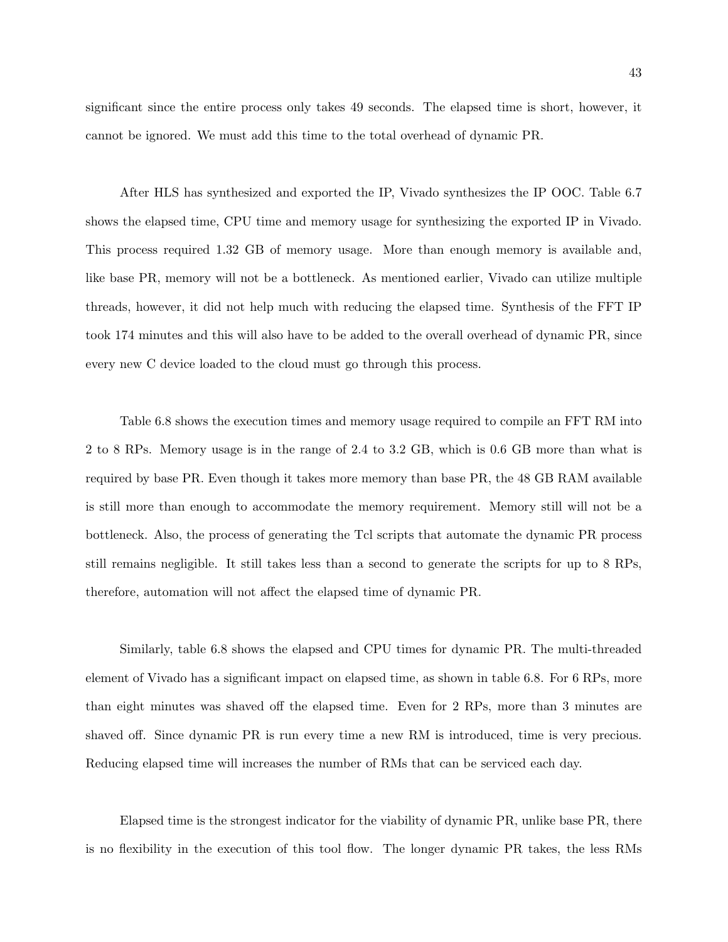significant since the entire process only takes 49 seconds. The elapsed time is short, however, it cannot be ignored. We must add this time to the total overhead of dynamic PR.

After HLS has synthesized and exported the IP, Vivado synthesizes the IP OOC. Table 6.7 shows the elapsed time, CPU time and memory usage for synthesizing the exported IP in Vivado. This process required 1.32 GB of memory usage. More than enough memory is available and, like base PR, memory will not be a bottleneck. As mentioned earlier, Vivado can utilize multiple threads, however, it did not help much with reducing the elapsed time. Synthesis of the FFT IP took 174 minutes and this will also have to be added to the overall overhead of dynamic PR, since every new C device loaded to the cloud must go through this process.

Table 6.8 shows the execution times and memory usage required to compile an FFT RM into 2 to 8 RPs. Memory usage is in the range of 2.4 to 3.2 GB, which is 0.6 GB more than what is required by base PR. Even though it takes more memory than base PR, the 48 GB RAM available is still more than enough to accommodate the memory requirement. Memory still will not be a bottleneck. Also, the process of generating the Tcl scripts that automate the dynamic PR process still remains negligible. It still takes less than a second to generate the scripts for up to 8 RPs, therefore, automation will not affect the elapsed time of dynamic PR.

Similarly, table 6.8 shows the elapsed and CPU times for dynamic PR. The multi-threaded element of Vivado has a significant impact on elapsed time, as shown in table 6.8. For 6 RPs, more than eight minutes was shaved off the elapsed time. Even for 2 RPs, more than 3 minutes are shaved off. Since dynamic PR is run every time a new RM is introduced, time is very precious. Reducing elapsed time will increases the number of RMs that can be serviced each day.

Elapsed time is the strongest indicator for the viability of dynamic PR, unlike base PR, there is no flexibility in the execution of this tool flow. The longer dynamic PR takes, the less RMs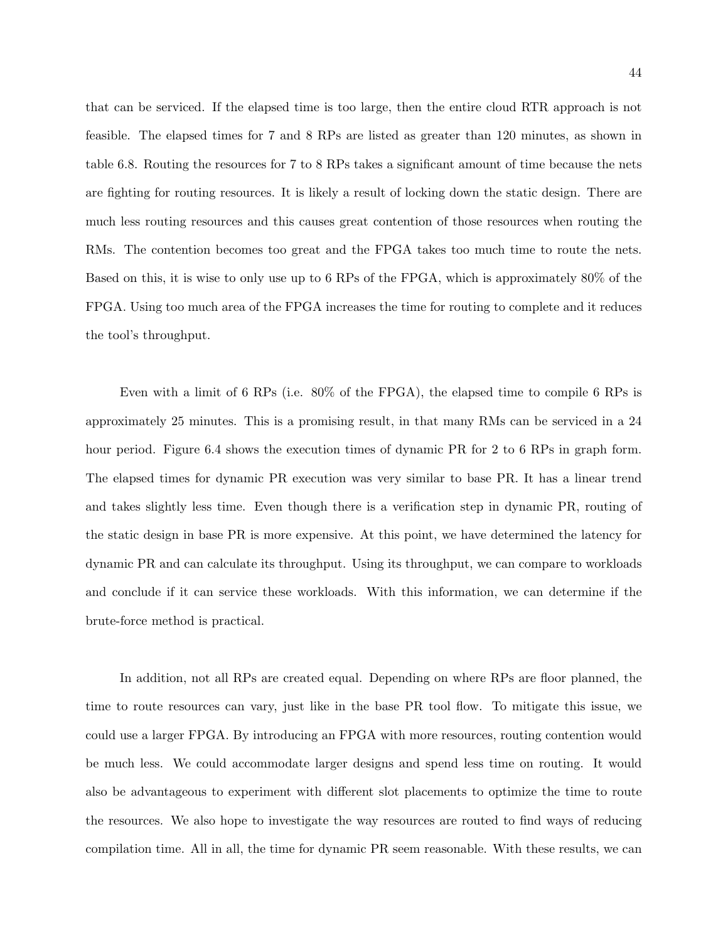that can be serviced. If the elapsed time is too large, then the entire cloud RTR approach is not feasible. The elapsed times for 7 and 8 RPs are listed as greater than 120 minutes, as shown in table 6.8. Routing the resources for 7 to 8 RPs takes a significant amount of time because the nets are fighting for routing resources. It is likely a result of locking down the static design. There are much less routing resources and this causes great contention of those resources when routing the RMs. The contention becomes too great and the FPGA takes too much time to route the nets. Based on this, it is wise to only use up to 6 RPs of the FPGA, which is approximately 80% of the FPGA. Using too much area of the FPGA increases the time for routing to complete and it reduces the tool's throughput.

Even with a limit of 6 RPs (i.e. 80% of the FPGA), the elapsed time to compile 6 RPs is approximately 25 minutes. This is a promising result, in that many RMs can be serviced in a 24 hour period. Figure 6.4 shows the execution times of dynamic PR for 2 to 6 RPs in graph form. The elapsed times for dynamic PR execution was very similar to base PR. It has a linear trend and takes slightly less time. Even though there is a verification step in dynamic PR, routing of the static design in base PR is more expensive. At this point, we have determined the latency for dynamic PR and can calculate its throughput. Using its throughput, we can compare to workloads and conclude if it can service these workloads. With this information, we can determine if the brute-force method is practical.

In addition, not all RPs are created equal. Depending on where RPs are floor planned, the time to route resources can vary, just like in the base PR tool flow. To mitigate this issue, we could use a larger FPGA. By introducing an FPGA with more resources, routing contention would be much less. We could accommodate larger designs and spend less time on routing. It would also be advantageous to experiment with different slot placements to optimize the time to route the resources. We also hope to investigate the way resources are routed to find ways of reducing compilation time. All in all, the time for dynamic PR seem reasonable. With these results, we can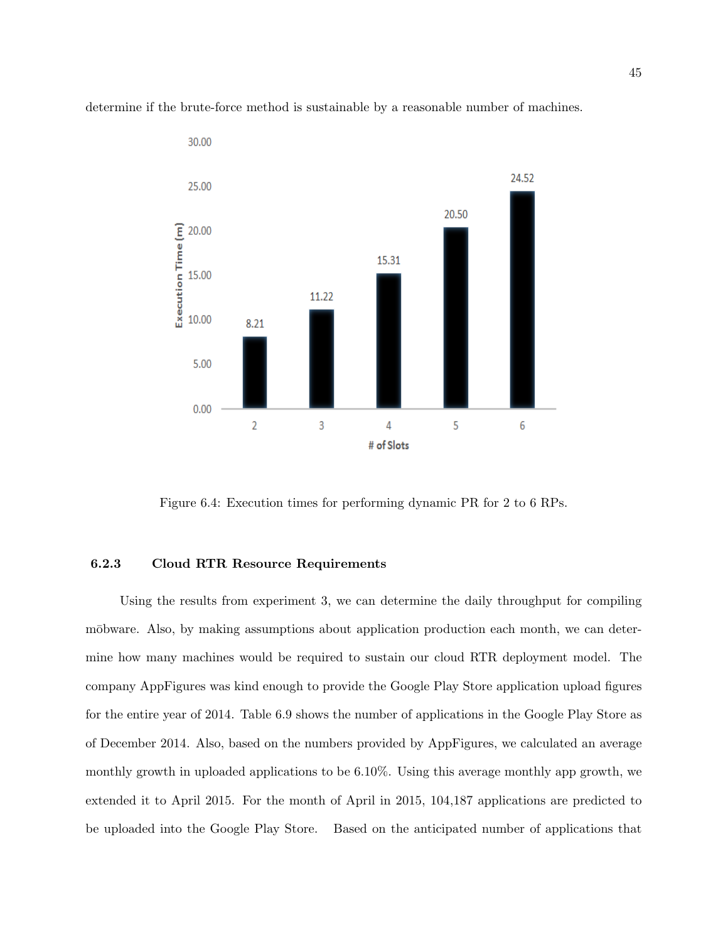



Figure 6.4: Execution times for performing dynamic PR for 2 to 6 RPs.

## 6.2.3 Cloud RTR Resource Requirements

Using the results from experiment 3, we can determine the daily throughput for compiling mobware. Also, by making assumptions about application production each month, we can determine how many machines would be required to sustain our cloud RTR deployment model. The company AppFigures was kind enough to provide the Google Play Store application upload figures for the entire year of 2014. Table 6.9 shows the number of applications in the Google Play Store as of December 2014. Also, based on the numbers provided by AppFigures, we calculated an average monthly growth in uploaded applications to be 6.10%. Using this average monthly app growth, we extended it to April 2015. For the month of April in 2015, 104,187 applications are predicted to be uploaded into the Google Play Store. Based on the anticipated number of applications that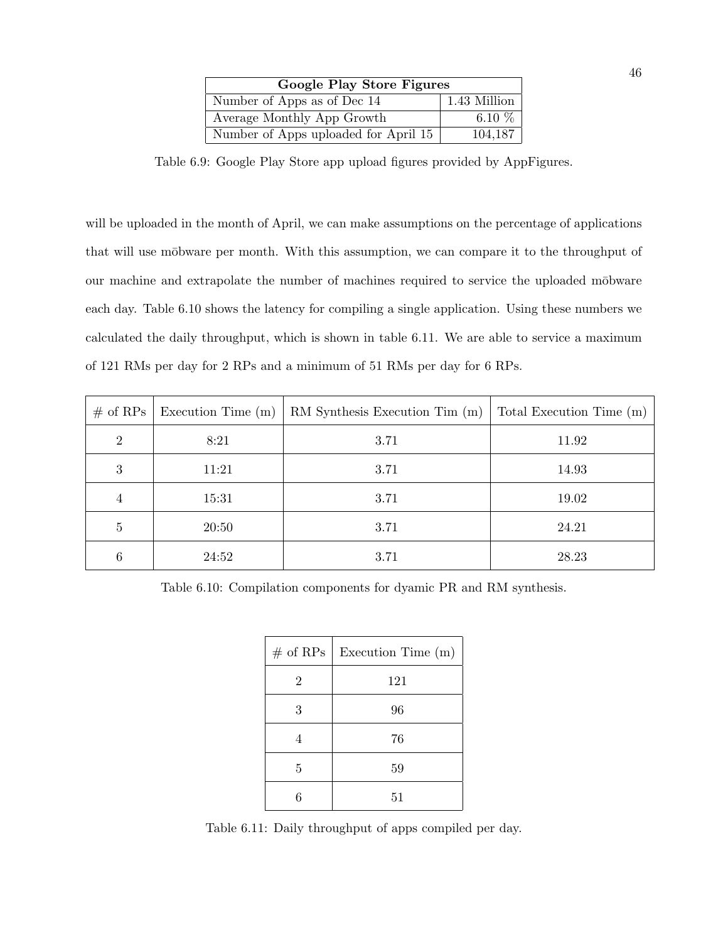| <b>Google Play Store Figures</b>     |              |  |  |
|--------------------------------------|--------------|--|--|
| Number of Apps as of Dec 14          | 1.43 Million |  |  |
| Average Monthly App Growth           | 6.10 $%$     |  |  |
| Number of Apps uploaded for April 15 | 104,187      |  |  |

Table 6.9: Google Play Store app upload figures provided by AppFigures.

will be uploaded in the month of April, we can make assumptions on the percentage of applications that will use moto per month. With this assumption, we can compare it to the throughput of our machine and extrapolate the number of machines required to service the uploaded mobware each day. Table 6.10 shows the latency for compiling a single application. Using these numbers we calculated the daily throughput, which is shown in table 6.11. We are able to service a maximum of 121 RMs per day for 2 RPs and a minimum of 51 RMs per day for 6 RPs.

| $#$ of RPs     | Execution Time (m) | RM Synthesis Execution Tim (m) | Total Execution Time (m) |
|----------------|--------------------|--------------------------------|--------------------------|
| $\overline{2}$ | 8:21               | 3.71                           | 11.92                    |
| 3              | 11:21              | 3.71                           | 14.93                    |
| 4              | 15:31              | 3.71                           | 19.02                    |
| 5              | 20:50              | 3.71                           | 24.21                    |
| 6              | 24:52              | 3.71                           | 28.23                    |

Table 6.10: Compilation components for dyamic PR and RM synthesis.

| $#$ of RPs | Execution Time (m) |
|------------|--------------------|
| 2          | 121                |
| 3          | 96                 |
|            | 76                 |
| 5          | 59                 |
| հ          | 51                 |

Table 6.11: Daily throughput of apps compiled per day.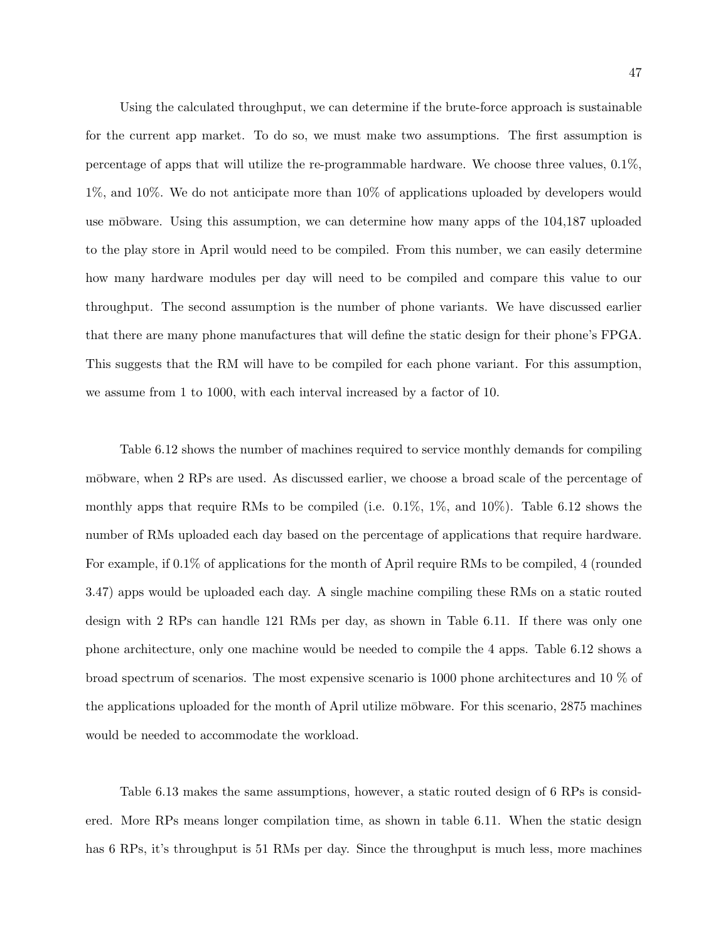Using the calculated throughput, we can determine if the brute-force approach is sustainable for the current app market. To do so, we must make two assumptions. The first assumption is percentage of apps that will utilize the re-programmable hardware. We choose three values, 0.1%, 1%, and 10%. We do not anticipate more than 10% of applications uploaded by developers would use mobware. Using this assumption, we can determine how many apps of the 104,187 uploaded to the play store in April would need to be compiled. From this number, we can easily determine how many hardware modules per day will need to be compiled and compare this value to our throughput. The second assumption is the number of phone variants. We have discussed earlier that there are many phone manufactures that will define the static design for their phone's FPGA. This suggests that the RM will have to be compiled for each phone variant. For this assumption, we assume from 1 to 1000, with each interval increased by a factor of 10.

Table 6.12 shows the number of machines required to service monthly demands for compiling mobware, when 2 RPs are used. As discussed earlier, we choose a broad scale of the percentage of monthly apps that require RMs to be compiled (i.e. 0.1%, 1%, and 10%). Table 6.12 shows the number of RMs uploaded each day based on the percentage of applications that require hardware. For example, if 0.1% of applications for the month of April require RMs to be compiled, 4 (rounded 3.47) apps would be uploaded each day. A single machine compiling these RMs on a static routed design with 2 RPs can handle 121 RMs per day, as shown in Table 6.11. If there was only one phone architecture, only one machine would be needed to compile the 4 apps. Table 6.12 shows a broad spectrum of scenarios. The most expensive scenario is 1000 phone architectures and 10 % of the applications uploaded for the month of April utilize mobware. For this scenario, 2875 machines would be needed to accommodate the workload.

Table 6.13 makes the same assumptions, however, a static routed design of 6 RPs is considered. More RPs means longer compilation time, as shown in table 6.11. When the static design has 6 RPs, it's throughput is 51 RMs per day. Since the throughput is much less, more machines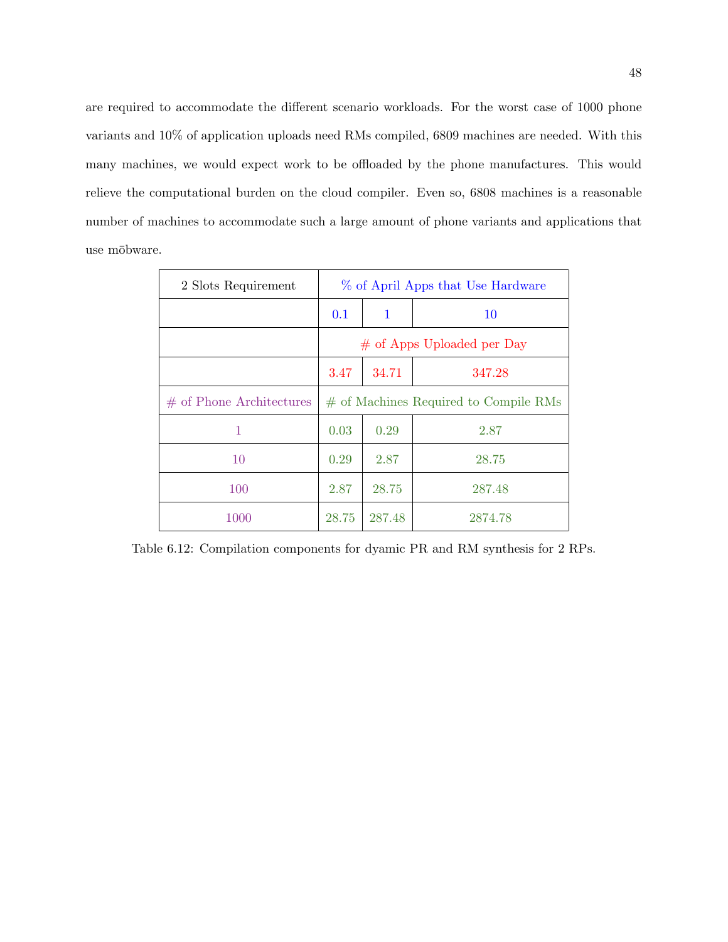are required to accommodate the different scenario workloads. For the worst case of 1000 phone variants and 10% of application uploads need RMs compiled, 6809 machines are needed. With this many machines, we would expect work to be offloaded by the phone manufactures. This would relieve the computational burden on the cloud compiler. Even so, 6808 machines is a reasonable number of machines to accommodate such a large amount of phone variants and applications that use mōbware.

| 2 Slots Requirement        | % of April Apps that Use Hardware     |        |         |
|----------------------------|---------------------------------------|--------|---------|
|                            | 0.1                                   | 1      | 10      |
|                            | $\#$ of Apps Uploaded per Day         |        |         |
|                            | 3.47                                  | 34.71  | 347.28  |
| $#$ of Phone Architectures | # of Machines Required to Compile RMs |        |         |
| 1                          | 0.03                                  | 0.29   | 2.87    |
| 10                         | 0.29                                  | 2.87   | 28.75   |
| 100                        | 2.87                                  | 28.75  | 287.48  |
| 1000                       | 28.75                                 | 287.48 | 2874.78 |

Table 6.12: Compilation components for dyamic PR and RM synthesis for 2 RPs.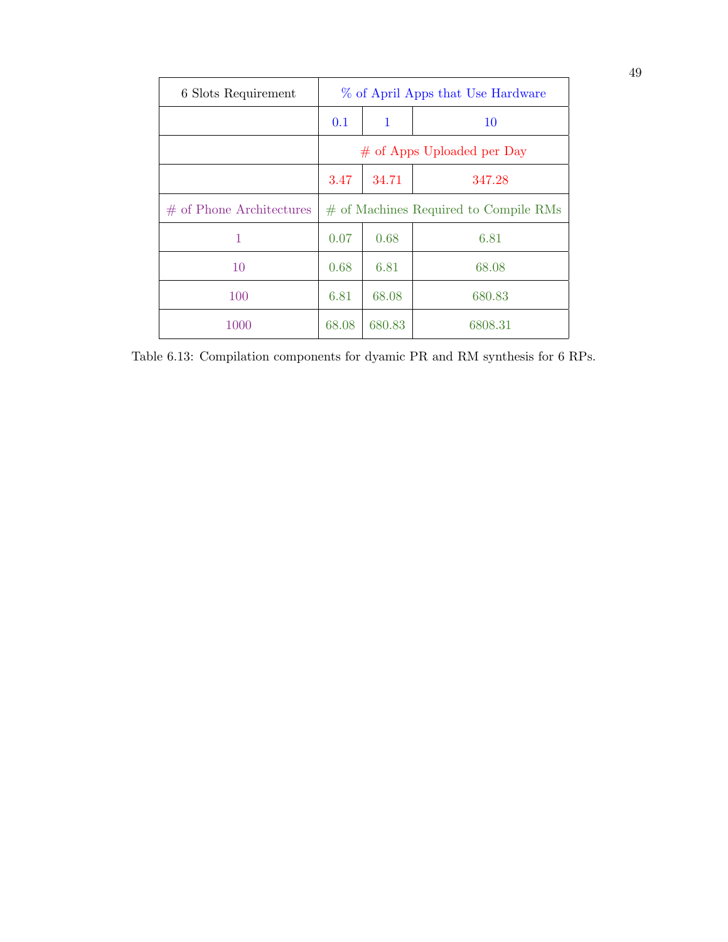| 6 Slots Requirement        |                                       | % of April Apps that Use Hardware |         |  |
|----------------------------|---------------------------------------|-----------------------------------|---------|--|
|                            | 0.1                                   | 1                                 | 10      |  |
|                            | $#$ of Apps Uploaded per Day          |                                   |         |  |
|                            | 3.47                                  | 34.71                             | 347.28  |  |
| $#$ of Phone Architectures | # of Machines Required to Compile RMs |                                   |         |  |
| 1                          | 0.07                                  | 0.68                              | 6.81    |  |
| 10                         | 0.68                                  | 6.81                              | 68.08   |  |
| 100                        | 6.81                                  | 68.08                             | 680.83  |  |
| 1000                       | 68.08                                 | 680.83                            | 6808.31 |  |

Table 6.13: Compilation components for dyamic PR and RM synthesis for 6 RPs.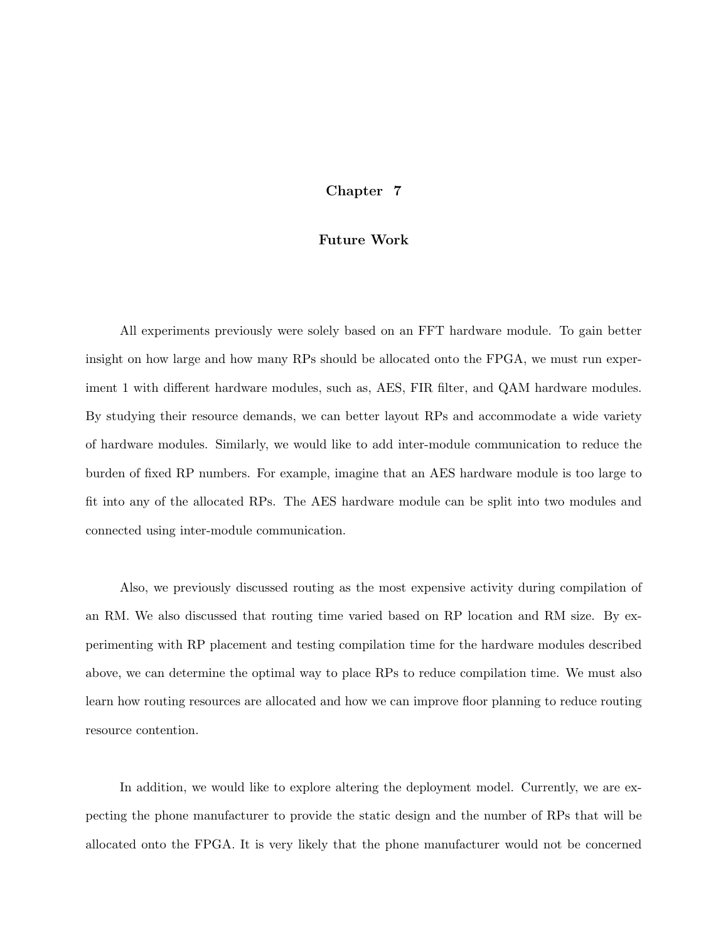## Chapter 7

#### Future Work

All experiments previously were solely based on an FFT hardware module. To gain better insight on how large and how many RPs should be allocated onto the FPGA, we must run experiment 1 with different hardware modules, such as, AES, FIR filter, and QAM hardware modules. By studying their resource demands, we can better layout RPs and accommodate a wide variety of hardware modules. Similarly, we would like to add inter-module communication to reduce the burden of fixed RP numbers. For example, imagine that an AES hardware module is too large to fit into any of the allocated RPs. The AES hardware module can be split into two modules and connected using inter-module communication.

Also, we previously discussed routing as the most expensive activity during compilation of an RM. We also discussed that routing time varied based on RP location and RM size. By experimenting with RP placement and testing compilation time for the hardware modules described above, we can determine the optimal way to place RPs to reduce compilation time. We must also learn how routing resources are allocated and how we can improve floor planning to reduce routing resource contention.

In addition, we would like to explore altering the deployment model. Currently, we are expecting the phone manufacturer to provide the static design and the number of RPs that will be allocated onto the FPGA. It is very likely that the phone manufacturer would not be concerned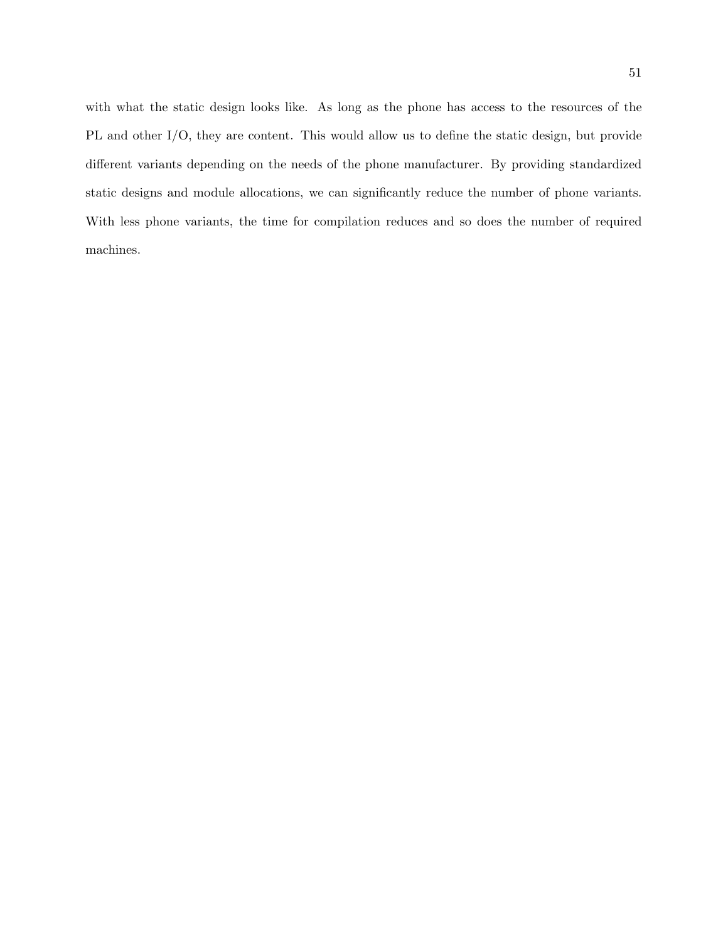with what the static design looks like. As long as the phone has access to the resources of the PL and other I/O, they are content. This would allow us to define the static design, but provide different variants depending on the needs of the phone manufacturer. By providing standardized static designs and module allocations, we can significantly reduce the number of phone variants. With less phone variants, the time for compilation reduces and so does the number of required machines.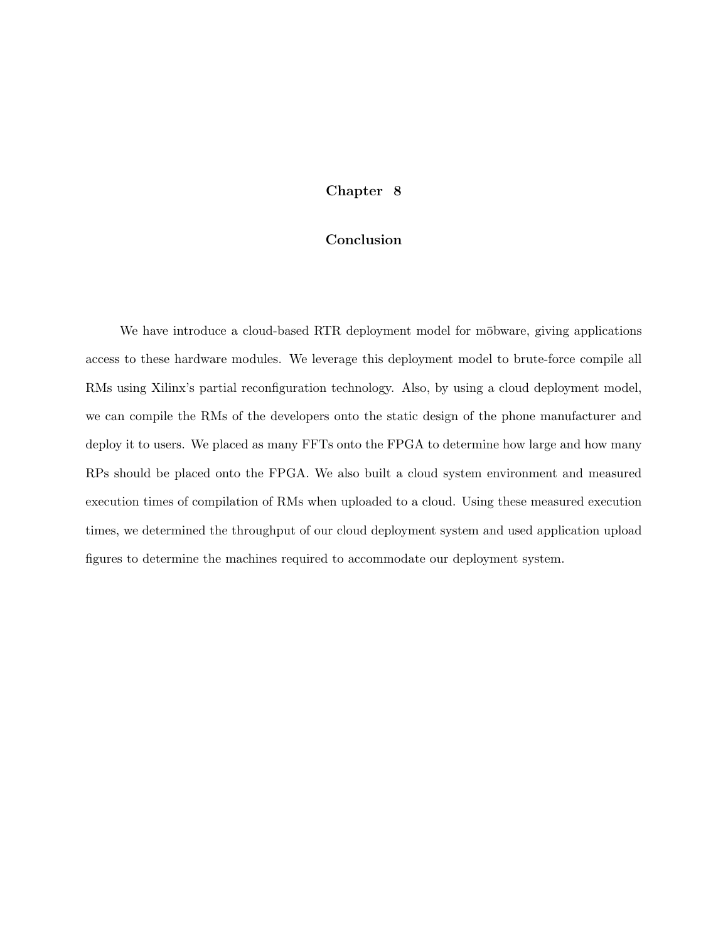## Chapter 8

## Conclusion

We have introduce a cloud-based RTR deployment model for mobware, giving applications access to these hardware modules. We leverage this deployment model to brute-force compile all RMs using Xilinx's partial reconfiguration technology. Also, by using a cloud deployment model, we can compile the RMs of the developers onto the static design of the phone manufacturer and deploy it to users. We placed as many FFTs onto the FPGA to determine how large and how many RPs should be placed onto the FPGA. We also built a cloud system environment and measured execution times of compilation of RMs when uploaded to a cloud. Using these measured execution times, we determined the throughput of our cloud deployment system and used application upload figures to determine the machines required to accommodate our deployment system.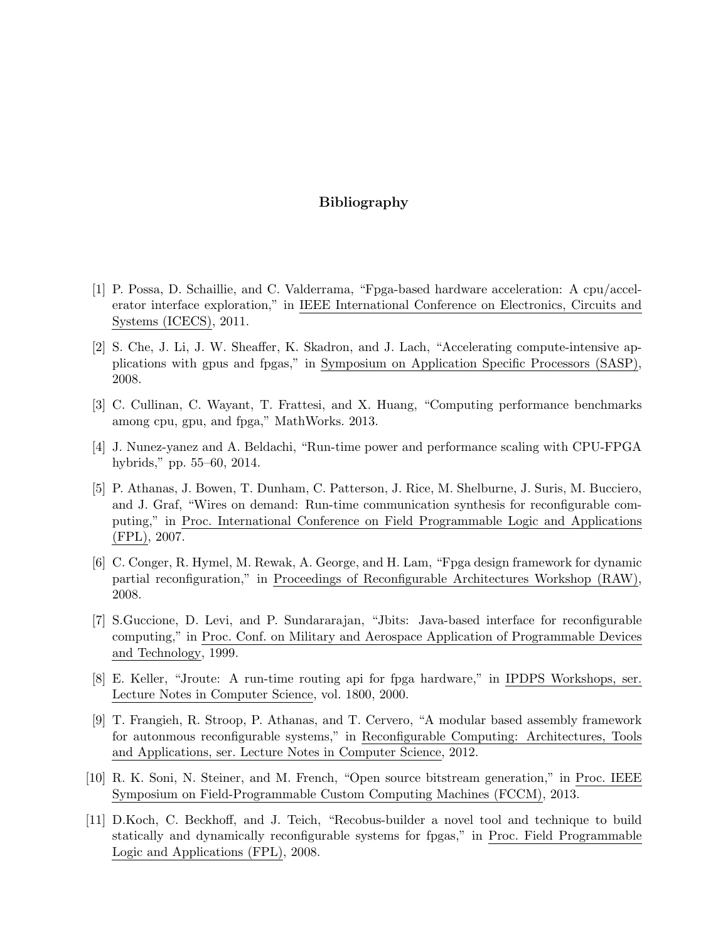## Bibliography

- [1] P. Possa, D. Schaillie, and C. Valderrama, "Fpga-based hardware acceleration: A cpu/accelerator interface exploration," in IEEE International Conference on Electronics, Circuits and Systems (ICECS), 2011.
- [2] S. Che, J. Li, J. W. Sheaffer, K. Skadron, and J. Lach, "Accelerating compute-intensive applications with gpus and fpgas," in Symposium on Application Specific Processors (SASP), 2008.
- [3] C. Cullinan, C. Wayant, T. Frattesi, and X. Huang, "Computing performance benchmarks among cpu, gpu, and fpga," MathWorks. 2013.
- [4] J. Nunez-yanez and A. Beldachi, "Run-time power and performance scaling with CPU-FPGA hybrids," pp. 55–60, 2014.
- [5] P. Athanas, J. Bowen, T. Dunham, C. Patterson, J. Rice, M. Shelburne, J. Suris, M. Bucciero, and J. Graf, "Wires on demand: Run-time communication synthesis for reconfigurable computing," in Proc. International Conference on Field Programmable Logic and Applications (FPL), 2007.
- [6] C. Conger, R. Hymel, M. Rewak, A. George, and H. Lam, "Fpga design framework for dynamic partial reconfiguration," in Proceedings of Reconfigurable Architectures Workshop (RAW), 2008.
- [7] S.Guccione, D. Levi, and P. Sundararajan, "Jbits: Java-based interface for reconfigurable computing," in Proc. Conf. on Military and Aerospace Application of Programmable Devices and Technology, 1999.
- [8] E. Keller, "Jroute: A run-time routing api for fpga hardware," in IPDPS Workshops, ser. Lecture Notes in Computer Science, vol. 1800, 2000.
- [9] T. Frangieh, R. Stroop, P. Athanas, and T. Cervero, "A modular based assembly framework for autonmous reconfigurable systems," in Reconfigurable Computing: Architectures, Tools and Applications, ser. Lecture Notes in Computer Science, 2012.
- [10] R. K. Soni, N. Steiner, and M. French, "Open source bitstream generation," in Proc. IEEE Symposium on Field-Programmable Custom Computing Machines (FCCM), 2013.
- [11] D.Koch, C. Beckhoff, and J. Teich, "Recobus-builder a novel tool and technique to build statically and dynamically reconfigurable systems for fpgas," in Proc. Field Programmable Logic and Applications (FPL), 2008.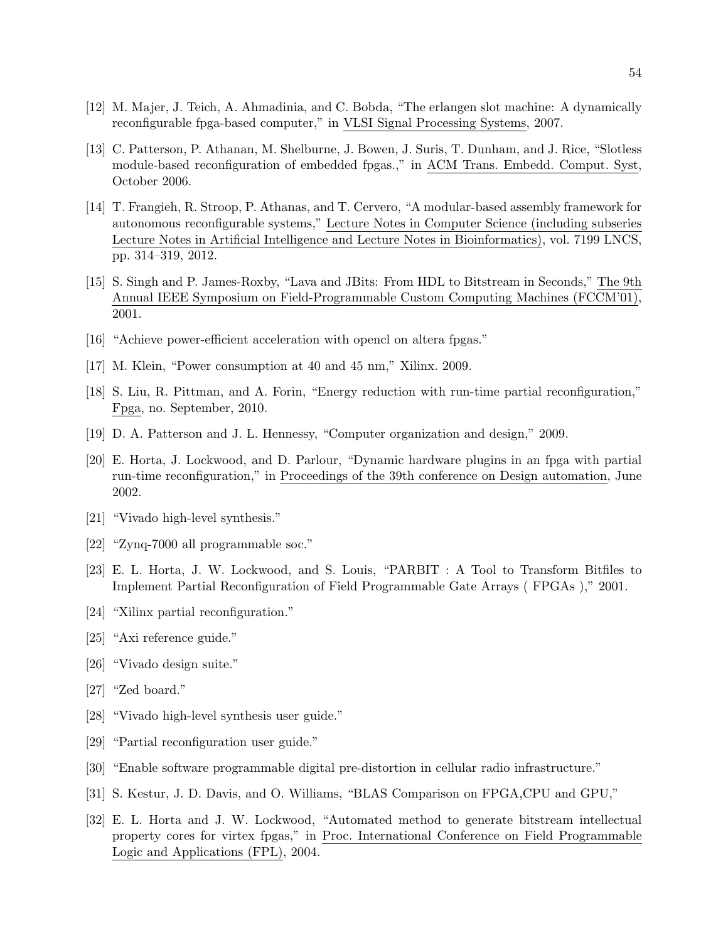- [12] M. Majer, J. Teich, A. Ahmadinia, and C. Bobda, "The erlangen slot machine: A dynamically reconfigurable fpga-based computer," in VLSI Signal Processing Systems, 2007.
- [13] C. Patterson, P. Athanan, M. Shelburne, J. Bowen, J. Suris, T. Dunham, and J. Rice, "Slotless module-based reconfiguration of embedded fpgas.," in ACM Trans. Embedd. Comput. Syst, October 2006.
- [14] T. Frangieh, R. Stroop, P. Athanas, and T. Cervero, "A modular-based assembly framework for autonomous reconfigurable systems," Lecture Notes in Computer Science (including subseries Lecture Notes in Artificial Intelligence and Lecture Notes in Bioinformatics), vol. 7199 LNCS, pp. 314–319, 2012.
- [15] S. Singh and P. James-Roxby, "Lava and JBits: From HDL to Bitstream in Seconds," The 9th Annual IEEE Symposium on Field-Programmable Custom Computing Machines (FCCM'01), 2001.
- [16] "Achieve power-efficient acceleration with opencl on altera fpgas."
- [17] M. Klein, "Power consumption at 40 and 45 nm," Xilinx. 2009.
- [18] S. Liu, R. Pittman, and A. Forin, "Energy reduction with run-time partial reconfiguration," Fpga, no. September, 2010.
- [19] D. A. Patterson and J. L. Hennessy, "Computer organization and design," 2009.
- [20] E. Horta, J. Lockwood, and D. Parlour, "Dynamic hardware plugins in an fpga with partial run-time reconfiguration," in Proceedings of the 39th conference on Design automation, June 2002.
- [21] "Vivado high-level synthesis."
- [22] "Zynq-7000 all programmable soc."
- [23] E. L. Horta, J. W. Lockwood, and S. Louis, "PARBIT : A Tool to Transform Bitfiles to Implement Partial Reconfiguration of Field Programmable Gate Arrays ( FPGAs )," 2001.
- [24] "Xilinx partial reconfiguration."
- [25] "Axi reference guide."
- [26] "Vivado design suite."
- [27] "Zed board."
- [28] "Vivado high-level synthesis user guide."
- [29] "Partial reconfiguration user guide."
- [30] "Enable software programmable digital pre-distortion in cellular radio infrastructure."
- [31] S. Kestur, J. D. Davis, and O. Williams, "BLAS Comparison on FPGA,CPU and GPU,"
- [32] E. L. Horta and J. W. Lockwood, "Automated method to generate bitstream intellectual property cores for virtex fpgas," in Proc. International Conference on Field Programmable Logic and Applications (FPL), 2004.